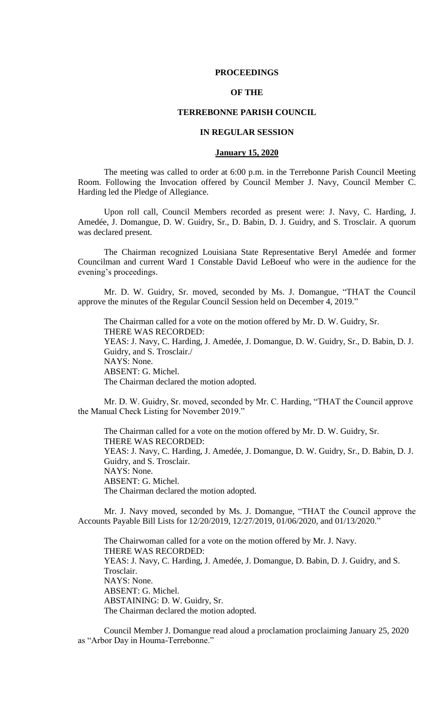### **PROCEEDINGS**

# **OF THE**

# **TERREBONNE PARISH COUNCIL**

### **IN REGULAR SESSION**

### **January 15, 2020**

The meeting was called to order at 6:00 p.m. in the Terrebonne Parish Council Meeting Room. Following the Invocation offered by Council Member J. Navy, Council Member C. Harding led the Pledge of Allegiance.

Upon roll call, Council Members recorded as present were: J. Navy, C. Harding, J. Amedée, J. Domangue, D. W. Guidry, Sr., D. Babin, D. J. Guidry, and S. Trosclair. A quorum was declared present.

The Chairman recognized Louisiana State Representative Beryl Amedée and former Councilman and current Ward 1 Constable David LeBoeuf who were in the audience for the evening's proceedings.

Mr. D. W. Guidry, Sr. moved, seconded by Ms. J. Domangue, "THAT the Council approve the minutes of the Regular Council Session held on December 4, 2019."

The Chairman called for a vote on the motion offered by Mr. D. W. Guidry, Sr. THERE WAS RECORDED: YEAS: J. Navy, C. Harding, J. Amedée, J. Domangue, D. W. Guidry, Sr., D. Babin, D. J. Guidry, and S. Trosclair./ NAYS: None. ABSENT: G. Michel. The Chairman declared the motion adopted.

Mr. D. W. Guidry, Sr. moved, seconded by Mr. C. Harding, "THAT the Council approve the Manual Check Listing for November 2019."

The Chairman called for a vote on the motion offered by Mr. D. W. Guidry, Sr. THERE WAS RECORDED: YEAS: J. Navy, C. Harding, J. Amedée, J. Domangue, D. W. Guidry, Sr., D. Babin, D. J. Guidry, and S. Trosclair. NAYS: None. ABSENT: G. Michel. The Chairman declared the motion adopted.

Mr. J. Navy moved, seconded by Ms. J. Domangue, "THAT the Council approve the Accounts Payable Bill Lists for 12/20/2019, 12/27/2019, 01/06/2020, and 01/13/2020."

The Chairwoman called for a vote on the motion offered by Mr. J. Navy. THERE WAS RECORDED: YEAS: J. Navy, C. Harding, J. Amedée, J. Domangue, D. Babin, D. J. Guidry, and S. Trosclair. NAYS: None. ABSENT: G. Michel. ABSTAINING: D. W. Guidry, Sr. The Chairman declared the motion adopted.

Council Member J. Domangue read aloud a proclamation proclaiming January 25, 2020 as "Arbor Day in Houma-Terrebonne."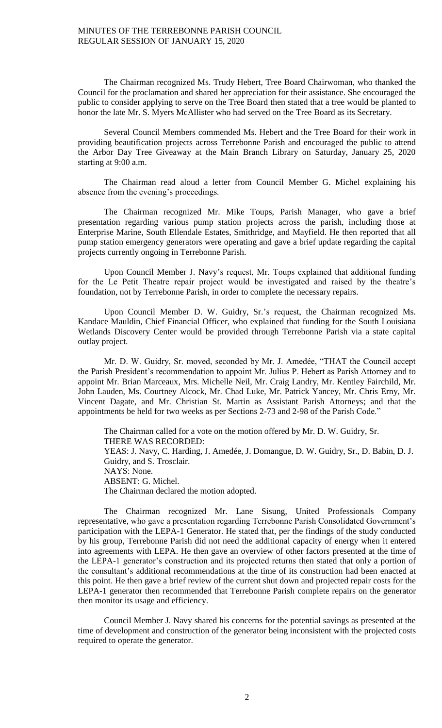The Chairman recognized Ms. Trudy Hebert, Tree Board Chairwoman, who thanked the Council for the proclamation and shared her appreciation for their assistance. She encouraged the public to consider applying to serve on the Tree Board then stated that a tree would be planted to honor the late Mr. S. Myers McAllister who had served on the Tree Board as its Secretary.

Several Council Members commended Ms. Hebert and the Tree Board for their work in providing beautification projects across Terrebonne Parish and encouraged the public to attend the Arbor Day Tree Giveaway at the Main Branch Library on Saturday, January 25, 2020 starting at 9:00 a.m.

The Chairman read aloud a letter from Council Member G. Michel explaining his absence from the evening's proceedings.

The Chairman recognized Mr. Mike Toups, Parish Manager, who gave a brief presentation regarding various pump station projects across the parish, including those at Enterprise Marine, South Ellendale Estates, Smithridge, and Mayfield. He then reported that all pump station emergency generators were operating and gave a brief update regarding the capital projects currently ongoing in Terrebonne Parish.

Upon Council Member J. Navy's request, Mr. Toups explained that additional funding for the Le Petit Theatre repair project would be investigated and raised by the theatre's foundation, not by Terrebonne Parish, in order to complete the necessary repairs.

Upon Council Member D. W. Guidry, Sr.'s request, the Chairman recognized Ms. Kandace Mauldin, Chief Financial Officer, who explained that funding for the South Louisiana Wetlands Discovery Center would be provided through Terrebonne Parish via a state capital outlay project.

Mr. D. W. Guidry, Sr. moved, seconded by Mr. J. Amedée, "THAT the Council accept the Parish President's recommendation to appoint Mr. Julius P. Hebert as Parish Attorney and to appoint Mr. Brian Marceaux, Mrs. Michelle Neil, Mr. Craig Landry, Mr. Kentley Fairchild, Mr. John Lauden, Ms. Courtney Alcock, Mr. Chad Luke, Mr. Patrick Yancey, Mr. Chris Erny, Mr. Vincent Dagate, and Mr. Christian St. Martin as Assistant Parish Attorneys; and that the appointments be held for two weeks as per Sections 2-73 and 2-98 of the Parish Code."

The Chairman called for a vote on the motion offered by Mr. D. W. Guidry, Sr. THERE WAS RECORDED: YEAS: J. Navy, C. Harding, J. Amedée, J. Domangue, D. W. Guidry, Sr., D. Babin, D. J. Guidry, and S. Trosclair. NAYS: None. ABSENT: G. Michel. The Chairman declared the motion adopted.

The Chairman recognized Mr. Lane Sisung, United Professionals Company representative, who gave a presentation regarding Terrebonne Parish Consolidated Government's participation with the LEPA-1 Generator. He stated that, per the findings of the study conducted by his group, Terrebonne Parish did not need the additional capacity of energy when it entered into agreements with LEPA. He then gave an overview of other factors presented at the time of the LEPA-1 generator's construction and its projected returns then stated that only a portion of the consultant's additional recommendations at the time of its construction had been enacted at this point. He then gave a brief review of the current shut down and projected repair costs for the LEPA-1 generator then recommended that Terrebonne Parish complete repairs on the generator then monitor its usage and efficiency.

Council Member J. Navy shared his concerns for the potential savings as presented at the time of development and construction of the generator being inconsistent with the projected costs required to operate the generator.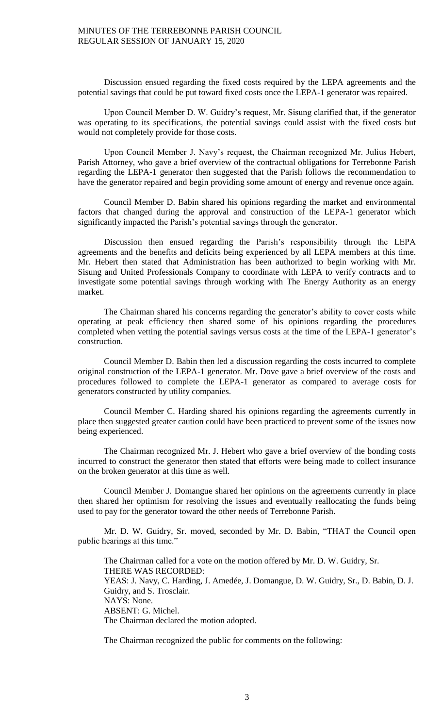Discussion ensued regarding the fixed costs required by the LEPA agreements and the potential savings that could be put toward fixed costs once the LEPA-1 generator was repaired.

Upon Council Member D. W. Guidry's request, Mr. Sisung clarified that, if the generator was operating to its specifications, the potential savings could assist with the fixed costs but would not completely provide for those costs.

Upon Council Member J. Navy's request, the Chairman recognized Mr. Julius Hebert, Parish Attorney, who gave a brief overview of the contractual obligations for Terrebonne Parish regarding the LEPA-1 generator then suggested that the Parish follows the recommendation to have the generator repaired and begin providing some amount of energy and revenue once again.

Council Member D. Babin shared his opinions regarding the market and environmental factors that changed during the approval and construction of the LEPA-1 generator which significantly impacted the Parish's potential savings through the generator.

Discussion then ensued regarding the Parish's responsibility through the LEPA agreements and the benefits and deficits being experienced by all LEPA members at this time. Mr. Hebert then stated that Administration has been authorized to begin working with Mr. Sisung and United Professionals Company to coordinate with LEPA to verify contracts and to investigate some potential savings through working with The Energy Authority as an energy market.

The Chairman shared his concerns regarding the generator's ability to cover costs while operating at peak efficiency then shared some of his opinions regarding the procedures completed when vetting the potential savings versus costs at the time of the LEPA-1 generator's construction.

Council Member D. Babin then led a discussion regarding the costs incurred to complete original construction of the LEPA-1 generator. Mr. Dove gave a brief overview of the costs and procedures followed to complete the LEPA-1 generator as compared to average costs for generators constructed by utility companies.

Council Member C. Harding shared his opinions regarding the agreements currently in place then suggested greater caution could have been practiced to prevent some of the issues now being experienced.

The Chairman recognized Mr. J. Hebert who gave a brief overview of the bonding costs incurred to construct the generator then stated that efforts were being made to collect insurance on the broken generator at this time as well.

Council Member J. Domangue shared her opinions on the agreements currently in place then shared her optimism for resolving the issues and eventually reallocating the funds being used to pay for the generator toward the other needs of Terrebonne Parish.

Mr. D. W. Guidry, Sr. moved, seconded by Mr. D. Babin, "THAT the Council open public hearings at this time."

The Chairman called for a vote on the motion offered by Mr. D. W. Guidry, Sr. THERE WAS RECORDED: YEAS: J. Navy, C. Harding, J. Amedée, J. Domangue, D. W. Guidry, Sr., D. Babin, D. J. Guidry, and S. Trosclair. NAYS: None. ABSENT: G. Michel. The Chairman declared the motion adopted.

The Chairman recognized the public for comments on the following: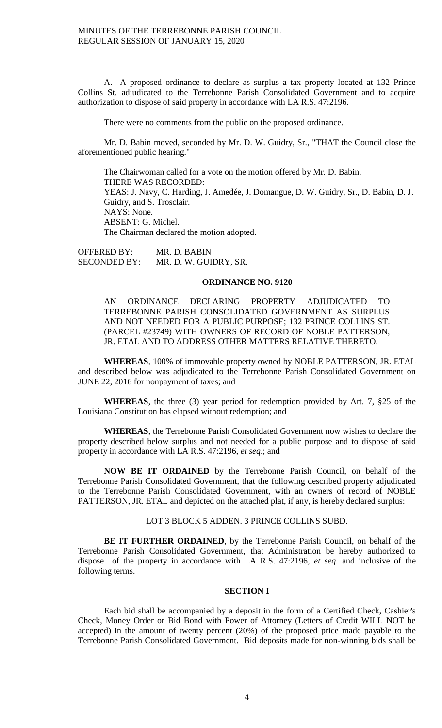A. A proposed ordinance to declare as surplus a tax property located at 132 Prince Collins St. adjudicated to the Terrebonne Parish Consolidated Government and to acquire authorization to dispose of said property in accordance with LA R.S. 47:2196.

There were no comments from the public on the proposed ordinance.

Mr. D. Babin moved, seconded by Mr. D. W. Guidry, Sr., "THAT the Council close the aforementioned public hearing."

The Chairwoman called for a vote on the motion offered by Mr. D. Babin. THERE WAS RECORDED: YEAS: J. Navy, C. Harding, J. Amedée, J. Domangue, D. W. Guidry, Sr., D. Babin, D. J. Guidry, and S. Trosclair. NAYS: None. ABSENT: G. Michel. The Chairman declared the motion adopted.

OFFERED BY: MR. D. BABIN SECONDED BY: MR. D. W. GUIDRY, SR.

# **ORDINANCE NO. 9120**

AN ORDINANCE DECLARING PROPERTY ADJUDICATED TO TERREBONNE PARISH CONSOLIDATED GOVERNMENT AS SURPLUS AND NOT NEEDED FOR A PUBLIC PURPOSE; 132 PRINCE COLLINS ST. (PARCEL #23749) WITH OWNERS OF RECORD OF NOBLE PATTERSON, JR. ETAL AND TO ADDRESS OTHER MATTERS RELATIVE THERETO.

**WHEREAS**, 100% of immovable property owned by NOBLE PATTERSON, JR. ETAL and described below was adjudicated to the Terrebonne Parish Consolidated Government on JUNE 22, 2016 for nonpayment of taxes; and

**WHEREAS**, the three (3) year period for redemption provided by Art. 7, §25 of the Louisiana Constitution has elapsed without redemption; and

**WHEREAS**, the Terrebonne Parish Consolidated Government now wishes to declare the property described below surplus and not needed for a public purpose and to dispose of said property in accordance with LA R.S. 47:2196, *et seq*.; and

**NOW BE IT ORDAINED** by the Terrebonne Parish Council, on behalf of the Terrebonne Parish Consolidated Government, that the following described property adjudicated to the Terrebonne Parish Consolidated Government, with an owners of record of NOBLE PATTERSON, JR. ETAL and depicted on the attached plat, if any, is hereby declared surplus:

LOT 3 BLOCK 5 ADDEN. 3 PRINCE COLLINS SUBD.

**BE IT FURTHER ORDAINED**, by the Terrebonne Parish Council, on behalf of the Terrebonne Parish Consolidated Government, that Administration be hereby authorized to dispose of the property in accordance with LA R.S. 47:2196, *et seq*. and inclusive of the following terms.

### **SECTION I**

Each bid shall be accompanied by a deposit in the form of a Certified Check, Cashier's Check, Money Order or Bid Bond with Power of Attorney (Letters of Credit WILL NOT be accepted) in the amount of twenty percent (20%) of the proposed price made payable to the Terrebonne Parish Consolidated Government. Bid deposits made for non-winning bids shall be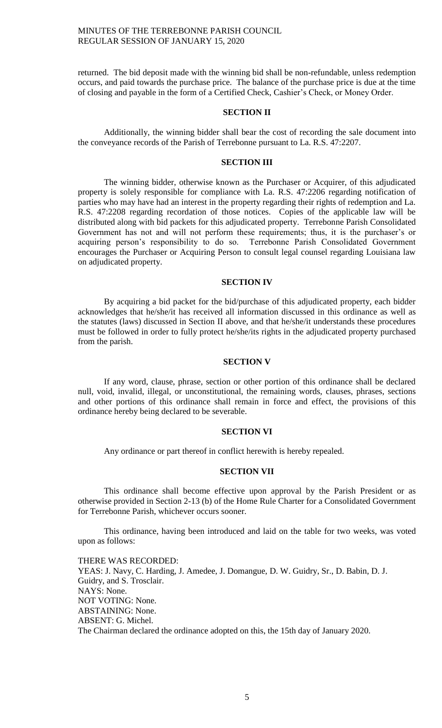returned. The bid deposit made with the winning bid shall be non-refundable, unless redemption occurs, and paid towards the purchase price. The balance of the purchase price is due at the time of closing and payable in the form of a Certified Check, Cashier's Check, or Money Order.

# **SECTION II**

Additionally, the winning bidder shall bear the cost of recording the sale document into the conveyance records of the Parish of Terrebonne pursuant to La. R.S. 47:2207.

## **SECTION III**

The winning bidder, otherwise known as the Purchaser or Acquirer, of this adjudicated property is solely responsible for compliance with La. R.S. 47:2206 regarding notification of parties who may have had an interest in the property regarding their rights of redemption and La. R.S. 47:2208 regarding recordation of those notices. Copies of the applicable law will be distributed along with bid packets for this adjudicated property. Terrebonne Parish Consolidated Government has not and will not perform these requirements; thus, it is the purchaser's or acquiring person's responsibility to do so. Terrebonne Parish Consolidated Government encourages the Purchaser or Acquiring Person to consult legal counsel regarding Louisiana law on adjudicated property.

### **SECTION IV**

By acquiring a bid packet for the bid/purchase of this adjudicated property, each bidder acknowledges that he/she/it has received all information discussed in this ordinance as well as the statutes (laws) discussed in Section II above, and that he/she/it understands these procedures must be followed in order to fully protect he/she/its rights in the adjudicated property purchased from the parish.

## **SECTION V**

If any word, clause, phrase, section or other portion of this ordinance shall be declared null, void, invalid, illegal, or unconstitutional, the remaining words, clauses, phrases, sections and other portions of this ordinance shall remain in force and effect, the provisions of this ordinance hereby being declared to be severable.

### **SECTION VI**

Any ordinance or part thereof in conflict herewith is hereby repealed.

## **SECTION VII**

This ordinance shall become effective upon approval by the Parish President or as otherwise provided in Section 2-13 (b) of the Home Rule Charter for a Consolidated Government for Terrebonne Parish, whichever occurs sooner.

This ordinance, having been introduced and laid on the table for two weeks, was voted upon as follows:

THERE WAS RECORDED: YEAS: J. Navy, C. Harding, J. Amedee, J. Domangue, D. W. Guidry, Sr., D. Babin, D. J. Guidry, and S. Trosclair. NAYS: None. NOT VOTING: None. ABSTAINING: None. ABSENT: G. Michel. The Chairman declared the ordinance adopted on this, the 15th day of January 2020.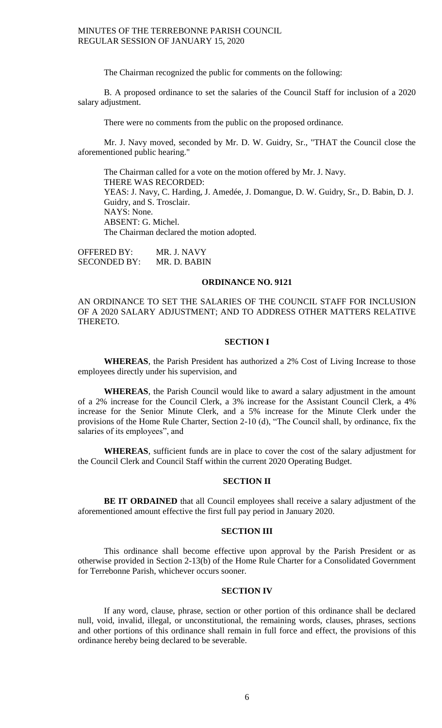The Chairman recognized the public for comments on the following:

B. A proposed ordinance to set the salaries of the Council Staff for inclusion of a 2020 salary adjustment.

There were no comments from the public on the proposed ordinance.

Mr. J. Navy moved, seconded by Mr. D. W. Guidry, Sr., "THAT the Council close the aforementioned public hearing."

The Chairman called for a vote on the motion offered by Mr. J. Navy. THERE WAS RECORDED: YEAS: J. Navy, C. Harding, J. Amedée, J. Domangue, D. W. Guidry, Sr., D. Babin, D. J. Guidry, and S. Trosclair. NAYS: None. ABSENT: G. Michel. The Chairman declared the motion adopted.

OFFERED BY: MR. J. NAVY SECONDED BY: MR. D. BABIN

# **ORDINANCE NO. 9121**

AN ORDINANCE TO SET THE SALARIES OF THE COUNCIL STAFF FOR INCLUSION OF A 2020 SALARY ADJUSTMENT; AND TO ADDRESS OTHER MATTERS RELATIVE THERETO.

#### **SECTION I**

**WHEREAS**, the Parish President has authorized a 2% Cost of Living Increase to those employees directly under his supervision, and

**WHEREAS**, the Parish Council would like to award a salary adjustment in the amount of a 2% increase for the Council Clerk, a 3% increase for the Assistant Council Clerk, a 4% increase for the Senior Minute Clerk, and a 5% increase for the Minute Clerk under the provisions of the Home Rule Charter, Section 2-10 (d), "The Council shall, by ordinance, fix the salaries of its employees", and

**WHEREAS**, sufficient funds are in place to cover the cost of the salary adjustment for the Council Clerk and Council Staff within the current 2020 Operating Budget.

# **SECTION II**

**BE IT ORDAINED** that all Council employees shall receive a salary adjustment of the aforementioned amount effective the first full pay period in January 2020.

### **SECTION III**

This ordinance shall become effective upon approval by the Parish President or as otherwise provided in Section 2-13(b) of the Home Rule Charter for a Consolidated Government for Terrebonne Parish, whichever occurs sooner.

## **SECTION IV**

If any word, clause, phrase, section or other portion of this ordinance shall be declared null, void, invalid, illegal, or unconstitutional, the remaining words, clauses, phrases, sections and other portions of this ordinance shall remain in full force and effect, the provisions of this ordinance hereby being declared to be severable.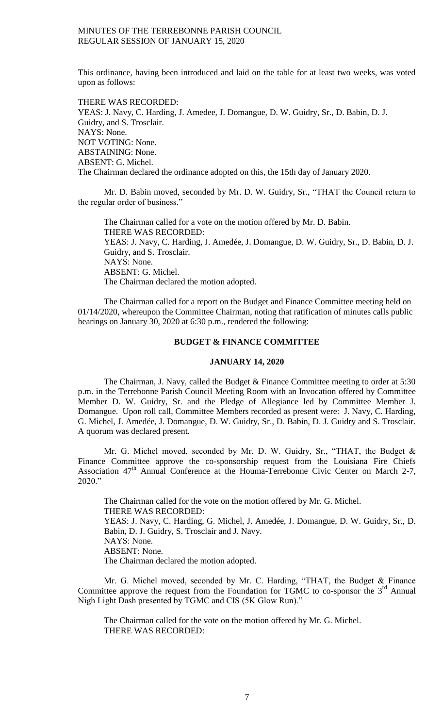This ordinance, having been introduced and laid on the table for at least two weeks, was voted upon as follows:

THERE WAS RECORDED: YEAS: J. Navy, C. Harding, J. Amedee, J. Domangue, D. W. Guidry, Sr., D. Babin, D. J. Guidry, and S. Trosclair. NAYS: None. NOT VOTING: None. ABSTAINING: None. ABSENT: G. Michel. The Chairman declared the ordinance adopted on this, the 15th day of January 2020.

Mr. D. Babin moved, seconded by Mr. D. W. Guidry, Sr., "THAT the Council return to the regular order of business."

The Chairman called for a vote on the motion offered by Mr. D. Babin. THERE WAS RECORDED: YEAS: J. Navy, C. Harding, J. Amedée, J. Domangue, D. W. Guidry, Sr., D. Babin, D. J. Guidry, and S. Trosclair. NAYS: None. ABSENT: G. Michel. The Chairman declared the motion adopted.

The Chairman called for a report on the Budget and Finance Committee meeting held on 01/14/2020, whereupon the Committee Chairman, noting that ratification of minutes calls public hearings on January 30, 2020 at 6:30 p.m., rendered the following:

# **BUDGET & FINANCE COMMITTEE**

### **JANUARY 14, 2020**

The Chairman, J. Navy, called the Budget & Finance Committee meeting to order at 5:30 p.m. in the Terrebonne Parish Council Meeting Room with an Invocation offered by Committee Member D. W. Guidry, Sr. and the Pledge of Allegiance led by Committee Member J. Domangue. Upon roll call, Committee Members recorded as present were: J. Navy, C. Harding, G. Michel, J. Amedée, J. Domangue, D. W. Guidry, Sr., D. Babin, D. J. Guidry and S. Trosclair. A quorum was declared present.

Mr. G. Michel moved, seconded by Mr. D. W. Guidry, Sr., "THAT, the Budget & Finance Committee approve the co-sponsorship request from the Louisiana Fire Chiefs Association 47<sup>th</sup> Annual Conference at the Houma-Terrebonne Civic Center on March 2-7, 2020."

The Chairman called for the vote on the motion offered by Mr. G. Michel. THERE WAS RECORDED: YEAS: J. Navy, C. Harding, G. Michel, J. Amedée, J. Domangue, D. W. Guidry, Sr., D. Babin, D. J. Guidry, S. Trosclair and J. Navy. NAYS: None. ABSENT: None. The Chairman declared the motion adopted.

Mr. G. Michel moved, seconded by Mr. C. Harding, "THAT, the Budget & Finance Committee approve the request from the Foundation for TGMC to co-sponsor the  $3<sup>rd</sup>$  Annual Nigh Light Dash presented by TGMC and CIS (5K Glow Run)."

The Chairman called for the vote on the motion offered by Mr. G. Michel. THERE WAS RECORDED: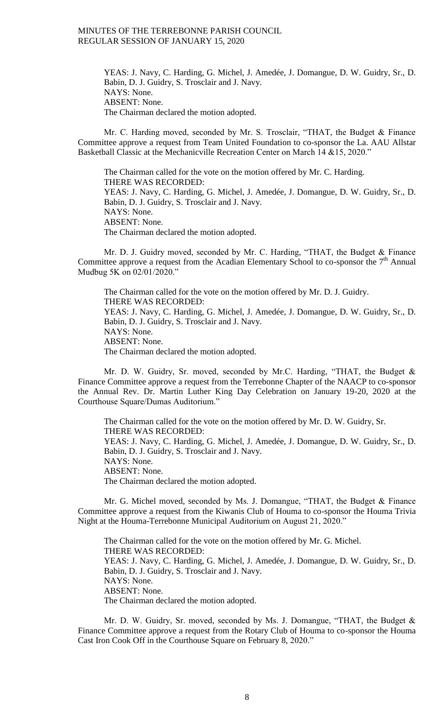YEAS: J. Navy, C. Harding, G. Michel, J. Amedée, J. Domangue, D. W. Guidry, Sr., D. Babin, D. J. Guidry, S. Trosclair and J. Navy. NAYS: None. ABSENT: None. The Chairman declared the motion adopted.

Mr. C. Harding moved, seconded by Mr. S. Trosclair, "THAT, the Budget & Finance Committee approve a request from Team United Foundation to co-sponsor the La. AAU Allstar Basketball Classic at the Mechanicville Recreation Center on March 14 & 15, 2020."

The Chairman called for the vote on the motion offered by Mr. C. Harding. THERE WAS RECORDED: YEAS: J. Navy, C. Harding, G. Michel, J. Amedée, J. Domangue, D. W. Guidry, Sr., D. Babin, D. J. Guidry, S. Trosclair and J. Navy. NAYS: None. ABSENT: None. The Chairman declared the motion adopted.

Mr. D. J. Guidry moved, seconded by Mr. C. Harding, "THAT, the Budget & Finance Committee approve a request from the Acadian Elementary School to co-sponsor the  $7<sup>th</sup>$  Annual Mudbug 5K on 02/01/2020."

The Chairman called for the vote on the motion offered by Mr. D. J. Guidry. THERE WAS RECORDED: YEAS: J. Navy, C. Harding, G. Michel, J. Amedée, J. Domangue, D. W. Guidry, Sr., D. Babin, D. J. Guidry, S. Trosclair and J. Navy. NAYS: None. ABSENT: None. The Chairman declared the motion adopted.

Mr. D. W. Guidry, Sr. moved, seconded by Mr.C. Harding, "THAT, the Budget & Finance Committee approve a request from the Terrebonne Chapter of the NAACP to co-sponsor the Annual Rev. Dr. Martin Luther King Day Celebration on January 19-20, 2020 at the Courthouse Square/Dumas Auditorium."

The Chairman called for the vote on the motion offered by Mr. D. W. Guidry, Sr. THERE WAS RECORDED: YEAS: J. Navy, C. Harding, G. Michel, J. Amedée, J. Domangue, D. W. Guidry, Sr., D. Babin, D. J. Guidry, S. Trosclair and J. Navy. NAYS: None. ABSENT: None. The Chairman declared the motion adopted.

Mr. G. Michel moved, seconded by Ms. J. Domangue, "THAT, the Budget & Finance Committee approve a request from the Kiwanis Club of Houma to co-sponsor the Houma Trivia Night at the Houma-Terrebonne Municipal Auditorium on August 21, 2020."

The Chairman called for the vote on the motion offered by Mr. G. Michel. THERE WAS RECORDED: YEAS: J. Navy, C. Harding, G. Michel, J. Amedée, J. Domangue, D. W. Guidry, Sr., D. Babin, D. J. Guidry, S. Trosclair and J. Navy. NAYS: None. ABSENT: None. The Chairman declared the motion adopted.

Mr. D. W. Guidry, Sr. moved, seconded by Ms. J. Domangue, "THAT, the Budget & Finance Committee approve a request from the Rotary Club of Houma to co-sponsor the Houma Cast Iron Cook Off in the Courthouse Square on February 8, 2020."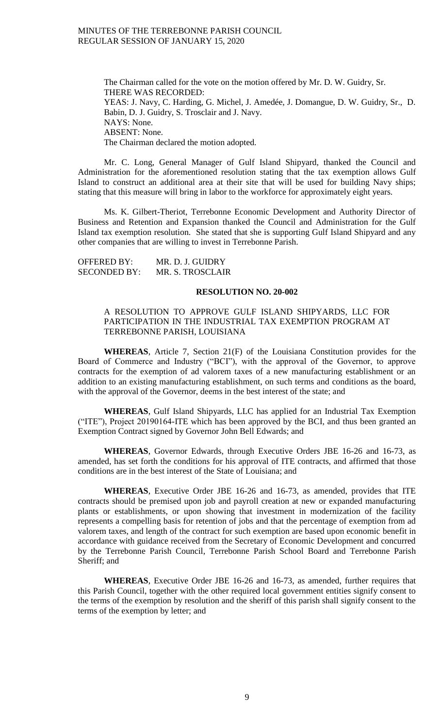The Chairman called for the vote on the motion offered by Mr. D. W. Guidry, Sr. THERE WAS RECORDED: YEAS: J. Navy, C. Harding, G. Michel, J. Amedée, J. Domangue, D. W. Guidry, Sr., D. Babin, D. J. Guidry, S. Trosclair and J. Navy. NAYS: None. ABSENT: None. The Chairman declared the motion adopted.

Mr. C. Long, General Manager of Gulf Island Shipyard, thanked the Council and Administration for the aforementioned resolution stating that the tax exemption allows Gulf Island to construct an additional area at their site that will be used for building Navy ships; stating that this measure will bring in labor to the workforce for approximately eight years.

Ms. K. Gilbert-Theriot, Terrebonne Economic Development and Authority Director of Business and Retention and Expansion thanked the Council and Administration for the Gulf Island tax exemption resolution. She stated that she is supporting Gulf Island Shipyard and any other companies that are willing to invest in Terrebonne Parish.

| <b>OFFERED BY:</b>  | MR. D. J. GUIDRY |
|---------------------|------------------|
| <b>SECONDED BY:</b> | MR. S. TROSCLAIR |

### **RESOLUTION NO. 20-002**

# A RESOLUTION TO APPROVE GULF ISLAND SHIPYARDS, LLC FOR PARTICIPATION IN THE INDUSTRIAL TAX EXEMPTION PROGRAM AT TERREBONNE PARISH, LOUISIANA

**WHEREAS**, Article 7, Section 21(F) of the Louisiana Constitution provides for the Board of Commerce and Industry ("BCI"), with the approval of the Governor, to approve contracts for the exemption of ad valorem taxes of a new manufacturing establishment or an addition to an existing manufacturing establishment, on such terms and conditions as the board, with the approval of the Governor, deems in the best interest of the state; and

**WHEREAS**, Gulf Island Shipyards, LLC has applied for an Industrial Tax Exemption ("ITE"), Project 20190164-ITE which has been approved by the BCI, and thus been granted an Exemption Contract signed by Governor John Bell Edwards; and

**WHEREAS**, Governor Edwards, through Executive Orders JBE 16-26 and 16-73, as amended, has set forth the conditions for his approval of ITE contracts, and affirmed that those conditions are in the best interest of the State of Louisiana; and

**WHEREAS**, Executive Order JBE 16-26 and 16-73, as amended, provides that ITE contracts should be premised upon job and payroll creation at new or expanded manufacturing plants or establishments, or upon showing that investment in modernization of the facility represents a compelling basis for retention of jobs and that the percentage of exemption from ad valorem taxes, and length of the contract for such exemption are based upon economic benefit in accordance with guidance received from the Secretary of Economic Development and concurred by the Terrebonne Parish Council, Terrebonne Parish School Board and Terrebonne Parish Sheriff; and

**WHEREAS**, Executive Order JBE 16-26 and 16-73, as amended, further requires that this Parish Council, together with the other required local government entities signify consent to the terms of the exemption by resolution and the sheriff of this parish shall signify consent to the terms of the exemption by letter; and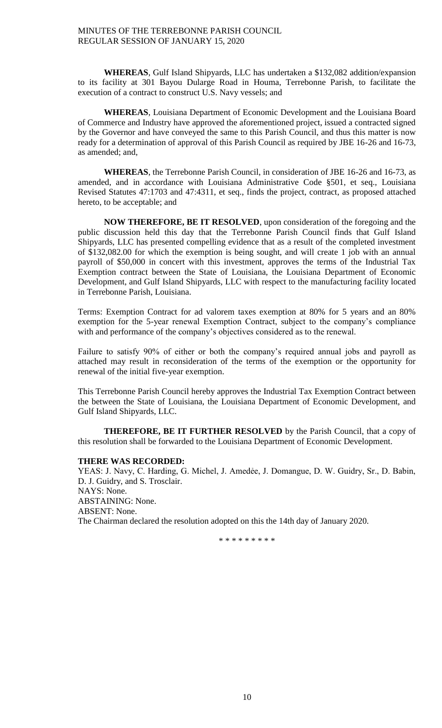**WHEREAS**, Gulf Island Shipyards, LLC has undertaken a \$132,082 addition/expansion to its facility at 301 Bayou Dularge Road in Houma, Terrebonne Parish, to facilitate the execution of a contract to construct U.S. Navy vessels; and

**WHEREAS**, Louisiana Department of Economic Development and the Louisiana Board of Commerce and Industry have approved the aforementioned project, issued a contracted signed by the Governor and have conveyed the same to this Parish Council, and thus this matter is now ready for a determination of approval of this Parish Council as required by JBE 16-26 and 16-73, as amended; and,

**WHEREAS**, the Terrebonne Parish Council, in consideration of JBE 16-26 and 16-73, as amended, and in accordance with Louisiana Administrative Code §501, et seq., Louisiana Revised Statutes 47:1703 and 47:4311, et seq., finds the project, contract, as proposed attached hereto, to be acceptable; and

**NOW THEREFORE, BE IT RESOLVED**, upon consideration of the foregoing and the public discussion held this day that the Terrebonne Parish Council finds that Gulf Island Shipyards, LLC has presented compelling evidence that as a result of the completed investment of \$132,082.00 for which the exemption is being sought, and will create 1 job with an annual payroll of \$50,000 in concert with this investment, approves the terms of the Industrial Tax Exemption contract between the State of Louisiana, the Louisiana Department of Economic Development, and Gulf Island Shipyards, LLC with respect to the manufacturing facility located in Terrebonne Parish, Louisiana.

Terms: Exemption Contract for ad valorem taxes exemption at 80% for 5 years and an 80% exemption for the 5-year renewal Exemption Contract, subject to the company's compliance with and performance of the company's objectives considered as to the renewal.

Failure to satisfy 90% of either or both the company's required annual jobs and payroll as attached may result in reconsideration of the terms of the exemption or the opportunity for renewal of the initial five-year exemption.

This Terrebonne Parish Council hereby approves the Industrial Tax Exemption Contract between the between the State of Louisiana, the Louisiana Department of Economic Development, and Gulf Island Shipyards, LLC.

**THEREFORE, BE IT FURTHER RESOLVED** by the Parish Council, that a copy of this resolution shall be forwarded to the Louisiana Department of Economic Development.

# **THERE WAS RECORDED:**

YEAS: J. Navy, C. Harding, G. Michel, J. Amedėe, J. Domangue, D. W. Guidry, Sr., D. Babin, D. J. Guidry, and S. Trosclair. NAYS: None. ABSTAINING: None. ABSENT: None. The Chairman declared the resolution adopted on this the 14th day of January 2020.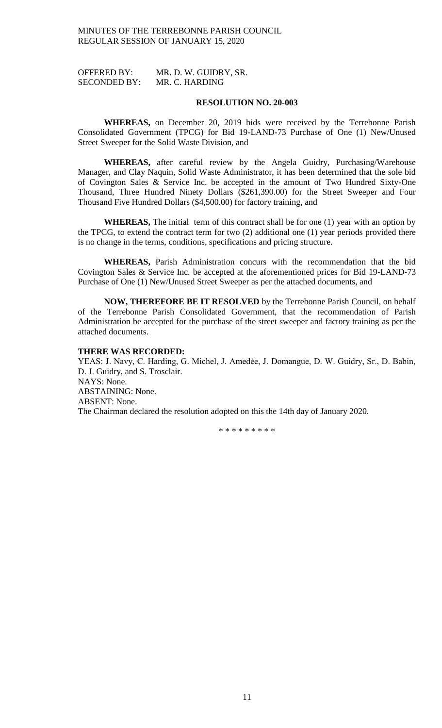OFFERED BY: MR. D. W. GUIDRY, SR. SECONDED BY: MR. C. HARDING

#### **RESOLUTION NO. 20-003**

**WHEREAS,** on December 20, 2019 bids were received by the Terrebonne Parish Consolidated Government (TPCG) for Bid 19-LAND-73 Purchase of One (1) New/Unused Street Sweeper for the Solid Waste Division, and

**WHEREAS,** after careful review by the Angela Guidry, Purchasing/Warehouse Manager, and Clay Naquin, Solid Waste Administrator, it has been determined that the sole bid of Covington Sales & Service Inc. be accepted in the amount of Two Hundred Sixty-One Thousand, Three Hundred Ninety Dollars (\$261,390.00) for the Street Sweeper and Four Thousand Five Hundred Dollars (\$4,500.00) for factory training, and

**WHEREAS,** The initial term of this contract shall be for one (1) year with an option by the TPCG, to extend the contract term for two (2) additional one (1) year periods provided there is no change in the terms, conditions, specifications and pricing structure.

**WHEREAS,** Parish Administration concurs with the recommendation that the bid Covington Sales & Service Inc. be accepted at the aforementioned prices for Bid 19-LAND-73 Purchase of One (1) New/Unused Street Sweeper as per the attached documents, and

**NOW, THEREFORE BE IT RESOLVED** by the Terrebonne Parish Council, on behalf of the Terrebonne Parish Consolidated Government, that the recommendation of Parish Administration be accepted for the purchase of the street sweeper and factory training as per the attached documents.

## **THERE WAS RECORDED:**

YEAS: J. Navy, C. Harding, G. Michel, J. Amedée, J. Domangue, D. W. Guidry, Sr., D. Babin, D. J. Guidry, and S. Trosclair. NAYS: None. ABSTAINING: None. ABSENT: None. The Chairman declared the resolution adopted on this the 14th day of January 2020.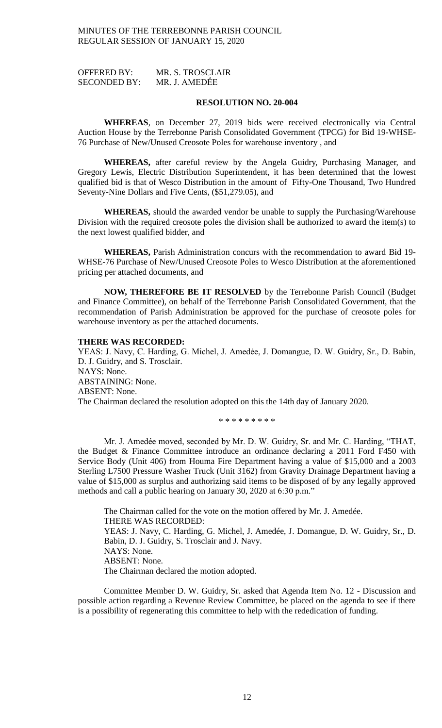OFFERED BY: MR. S. TROSCLAIR SECONDED BY: MR. J. AMEDẾE

#### **RESOLUTION NO. 20-004**

**WHEREAS**, on December 27, 2019 bids were received electronically via Central Auction House by the Terrebonne Parish Consolidated Government (TPCG) for Bid 19-WHSE-76 Purchase of New/Unused Creosote Poles for warehouse inventory , and

**WHEREAS,** after careful review by the Angela Guidry, Purchasing Manager, and Gregory Lewis, Electric Distribution Superintendent, it has been determined that the lowest qualified bid is that of Wesco Distribution in the amount of Fifty-One Thousand, Two Hundred Seventy-Nine Dollars and Five Cents, (\$51,279.05), and

**WHEREAS,** should the awarded vendor be unable to supply the Purchasing/Warehouse Division with the required creosote poles the division shall be authorized to award the item(s) to the next lowest qualified bidder, and

**WHEREAS,** Parish Administration concurs with the recommendation to award Bid 19- WHSE-76 Purchase of New/Unused Creosote Poles to Wesco Distribution at the aforementioned pricing per attached documents, and

**NOW, THEREFORE BE IT RESOLVED** by the Terrebonne Parish Council (Budget and Finance Committee), on behalf of the Terrebonne Parish Consolidated Government, that the recommendation of Parish Administration be approved for the purchase of creosote poles for warehouse inventory as per the attached documents.

### **THERE WAS RECORDED:**

YEAS: J. Navy, C. Harding, G. Michel, J. Amedée, J. Domangue, D. W. Guidry, Sr., D. Babin, D. J. Guidry, and S. Trosclair. NAYS: None. ABSTAINING: None. ABSENT: None. The Chairman declared the resolution adopted on this the 14th day of January 2020.

\* \* \* \* \* \* \* \* \*

Mr. J. Amedée moved, seconded by Mr. D. W. Guidry, Sr. and Mr. C. Harding, "THAT, the Budget & Finance Committee introduce an ordinance declaring a 2011 Ford F450 with Service Body (Unit 406) from Houma Fire Department having a value of \$15,000 and a 2003 Sterling L7500 Pressure Washer Truck (Unit 3162) from Gravity Drainage Department having a value of \$15,000 as surplus and authorizing said items to be disposed of by any legally approved methods and call a public hearing on January 30, 2020 at 6:30 p.m."

The Chairman called for the vote on the motion offered by Mr. J. Amedée. THERE WAS RECORDED: YEAS: J. Navy, C. Harding, G. Michel, J. Amedée, J. Domangue, D. W. Guidry, Sr., D. Babin, D. J. Guidry, S. Trosclair and J. Navy. NAYS: None. ABSENT: None. The Chairman declared the motion adopted.

Committee Member D. W. Guidry, Sr. asked that Agenda Item No. 12 - Discussion and possible action regarding a Revenue Review Committee, be placed on the agenda to see if there is a possibility of regenerating this committee to help with the rededication of funding.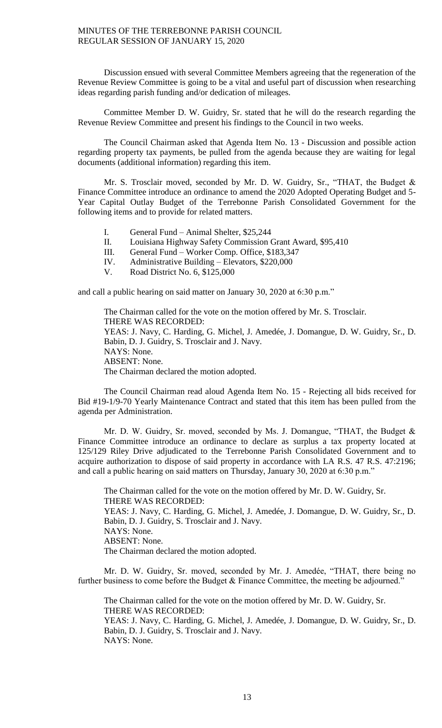Discussion ensued with several Committee Members agreeing that the regeneration of the Revenue Review Committee is going to be a vital and useful part of discussion when researching ideas regarding parish funding and/or dedication of mileages.

Committee Member D. W. Guidry, Sr. stated that he will do the research regarding the Revenue Review Committee and present his findings to the Council in two weeks.

The Council Chairman asked that Agenda Item No. 13 - Discussion and possible action regarding property tax payments, be pulled from the agenda because they are waiting for legal documents (additional information) regarding this item.

Mr. S. Trosclair moved, seconded by Mr. D. W. Guidry, Sr., "THAT, the Budget & Finance Committee introduce an ordinance to amend the 2020 Adopted Operating Budget and 5- Year Capital Outlay Budget of the Terrebonne Parish Consolidated Government for the following items and to provide for related matters.

- I. General Fund Animal Shelter, \$25,244
- II. Louisiana Highway Safety Commission Grant Award, \$95,410
- III. General Fund Worker Comp. Office, \$183,347
- IV. Administrative Building Elevators, \$220,000
- V. Road District No. 6, \$125,000

and call a public hearing on said matter on January 30, 2020 at 6:30 p.m."

The Chairman called for the vote on the motion offered by Mr. S. Trosclair. THERE WAS RECORDED: YEAS: J. Navy, C. Harding, G. Michel, J. Amedée, J. Domangue, D. W. Guidry, Sr., D. Babin, D. J. Guidry, S. Trosclair and J. Navy. NAYS: None. ABSENT: None. The Chairman declared the motion adopted.

The Council Chairman read aloud Agenda Item No. 15 - Rejecting all bids received for Bid #19-1/9-70 Yearly Maintenance Contract and stated that this item has been pulled from the agenda per Administration.

Mr. D. W. Guidry, Sr. moved, seconded by Ms. J. Domangue, "THAT, the Budget & Finance Committee introduce an ordinance to declare as surplus a tax property located at 125/129 Riley Drive adjudicated to the Terrebonne Parish Consolidated Government and to acquire authorization to dispose of said property in accordance with LA R.S. 47 R.S. 47:2196; and call a public hearing on said matters on Thursday, January 30, 2020 at 6:30 p.m."

The Chairman called for the vote on the motion offered by Mr. D. W. Guidry, Sr. THERE WAS RECORDED: YEAS: J. Navy, C. Harding, G. Michel, J. Amedée, J. Domangue, D. W. Guidry, Sr., D. Babin, D. J. Guidry, S. Trosclair and J. Navy. NAYS: None. ABSENT: None. The Chairman declared the motion adopted.

Mr. D. W. Guidry, Sr. moved, seconded by Mr. J. Amedée, "THAT, there being no further business to come before the Budget & Finance Committee, the meeting be adjourned."

The Chairman called for the vote on the motion offered by Mr. D. W. Guidry, Sr. THERE WAS RECORDED: YEAS: J. Navy, C. Harding, G. Michel, J. Amedée, J. Domangue, D. W. Guidry, Sr., D. Babin, D. J. Guidry, S. Trosclair and J. Navy. NAYS: None.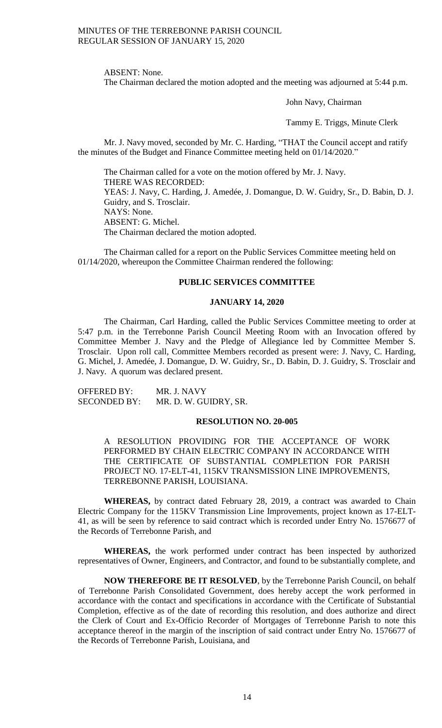ABSENT: None.

The Chairman declared the motion adopted and the meeting was adjourned at 5:44 p.m.

John Navy, Chairman

Tammy E. Triggs, Minute Clerk

Mr. J. Navy moved, seconded by Mr. C. Harding, "THAT the Council accept and ratify the minutes of the Budget and Finance Committee meeting held on 01/14/2020."

The Chairman called for a vote on the motion offered by Mr. J. Navy. THERE WAS RECORDED: YEAS: J. Navy, C. Harding, J. Amedée, J. Domangue, D. W. Guidry, Sr., D. Babin, D. J. Guidry, and S. Trosclair. NAYS: None. ABSENT: G. Michel. The Chairman declared the motion adopted.

The Chairman called for a report on the Public Services Committee meeting held on 01/14/2020, whereupon the Committee Chairman rendered the following:

# **PUBLIC SERVICES COMMITTEE**

# **JANUARY 14, 2020**

The Chairman, Carl Harding, called the Public Services Committee meeting to order at 5:47 p.m. in the Terrebonne Parish Council Meeting Room with an Invocation offered by Committee Member J. Navy and the Pledge of Allegiance led by Committee Member S. Trosclair. Upon roll call, Committee Members recorded as present were: J. Navy, C. Harding, G. Michel, J. Amedée, J. Domangue, D. W. Guidry, Sr., D. Babin, D. J. Guidry, S. Trosclair and J. Navy. A quorum was declared present.

OFFERED BY: MR. J. NAVY SECONDED BY: MR. D. W. GUIDRY, SR.

### **RESOLUTION NO. 20-005**

A RESOLUTION PROVIDING FOR THE ACCEPTANCE OF WORK PERFORMED BY CHAIN ELECTRIC COMPANY IN ACCORDANCE WITH THE CERTIFICATE OF SUBSTANTIAL COMPLETION FOR PARISH PROJECT NO. 17-ELT-41, 115KV TRANSMISSION LINE IMPROVEMENTS, TERREBONNE PARISH, LOUISIANA.

**WHEREAS,** by contract dated February 28, 2019, a contract was awarded to Chain Electric Company for the 115KV Transmission Line Improvements, project known as 17-ELT-41, as will be seen by reference to said contract which is recorded under Entry No. 1576677 of the Records of Terrebonne Parish, and

**WHEREAS,** the work performed under contract has been inspected by authorized representatives of Owner, Engineers, and Contractor, and found to be substantially complete, and

**NOW THEREFORE BE IT RESOLVED**, by the Terrebonne Parish Council, on behalf of Terrebonne Parish Consolidated Government, does hereby accept the work performed in accordance with the contact and specifications in accordance with the Certificate of Substantial Completion, effective as of the date of recording this resolution, and does authorize and direct the Clerk of Court and Ex-Officio Recorder of Mortgages of Terrebonne Parish to note this acceptance thereof in the margin of the inscription of said contract under Entry No. 1576677 of the Records of Terrebonne Parish, Louisiana, and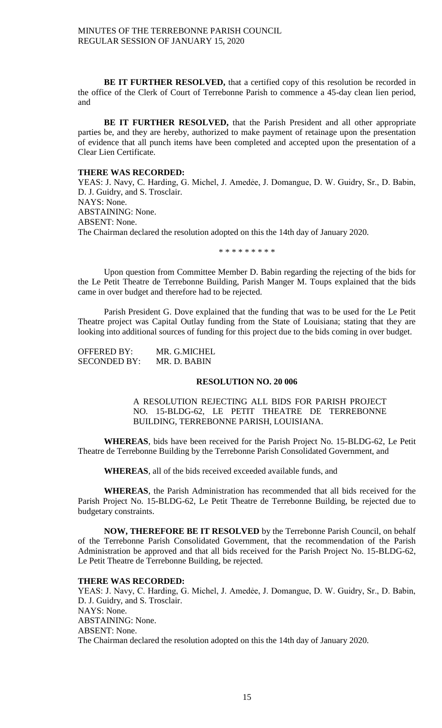**BE IT FURTHER RESOLVED,** that a certified copy of this resolution be recorded in the office of the Clerk of Court of Terrebonne Parish to commence a 45-day clean lien period, and

**BE IT FURTHER RESOLVED,** that the Parish President and all other appropriate parties be, and they are hereby, authorized to make payment of retainage upon the presentation of evidence that all punch items have been completed and accepted upon the presentation of a Clear Lien Certificate.

### **THERE WAS RECORDED:**

YEAS: J. Navy, C. Harding, G. Michel, J. Amedée, J. Domangue, D. W. Guidry, Sr., D. Babin, D. J. Guidry, and S. Trosclair. NAYS: None. ABSTAINING: None. ABSENT: None. The Chairman declared the resolution adopted on this the 14th day of January 2020.

\* \* \* \* \* \* \* \* \*

Upon question from Committee Member D. Babin regarding the rejecting of the bids for the Le Petit Theatre de Terrebonne Building, Parish Manger M. Toups explained that the bids came in over budget and therefore had to be rejected.

Parish President G. Dove explained that the funding that was to be used for the Le Petit Theatre project was Capital Outlay funding from the State of Louisiana; stating that they are looking into additional sources of funding for this project due to the bids coming in over budget.

| <b>OFFERED BY:</b>  | MR. G.MICHEL |
|---------------------|--------------|
| <b>SECONDED BY:</b> | MR. D. BABIN |

# **RESOLUTION NO. 20 006**

A RESOLUTION REJECTING ALL BIDS FOR PARISH PROJECT NO. 15-BLDG-62, LE PETIT THEATRE DE TERREBONNE BUILDING, TERREBONNE PARISH, LOUISIANA.

**WHEREAS**, bids have been received for the Parish Project No. 15-BLDG-62, Le Petit Theatre de Terrebonne Building by the Terrebonne Parish Consolidated Government, and

**WHEREAS**, all of the bids received exceeded available funds, and

**WHEREAS**, the Parish Administration has recommended that all bids received for the Parish Project No. 15-BLDG-62, Le Petit Theatre de Terrebonne Building, be rejected due to budgetary constraints.

**NOW, THEREFORE BE IT RESOLVED** by the Terrebonne Parish Council, on behalf of the Terrebonne Parish Consolidated Government, that the recommendation of the Parish Administration be approved and that all bids received for the Parish Project No. 15-BLDG-62, Le Petit Theatre de Terrebonne Building, be rejected.

### **THERE WAS RECORDED:**

YEAS: J. Navy, C. Harding, G. Michel, J. Amedée, J. Domangue, D. W. Guidry, Sr., D. Babin, D. J. Guidry, and S. Trosclair. NAYS: None. ABSTAINING: None. ABSENT: None. The Chairman declared the resolution adopted on this the 14th day of January 2020.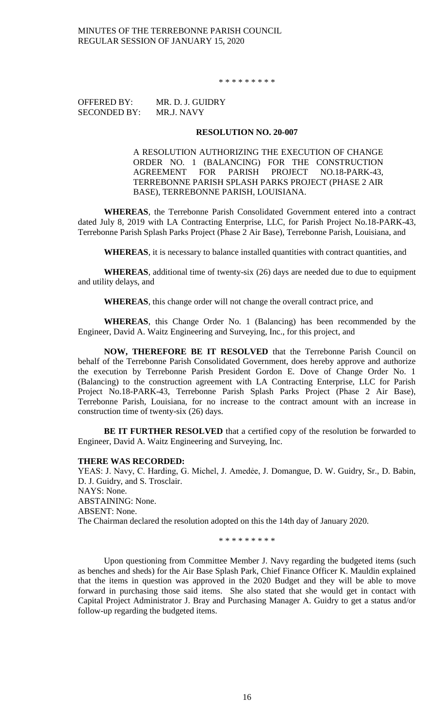\* \* \* \* \* \* \* \* \*

OFFERED BY: MR. D. J. GUIDRY SECONDED BY: MR.J. NAVY

### **RESOLUTION NO. 20-007**

A RESOLUTION AUTHORIZING THE EXECUTION OF CHANGE ORDER NO. 1 (BALANCING) FOR THE CONSTRUCTION AGREEMENT FOR PARISH PROJECT NO.18-PARK-43, TERREBONNE PARISH SPLASH PARKS PROJECT (PHASE 2 AIR BASE), TERREBONNE PARISH, LOUISIANA.

**WHEREAS**, the Terrebonne Parish Consolidated Government entered into a contract dated July 8, 2019 with LA Contracting Enterprise, LLC, for Parish Project No.18-PARK-43, Terrebonne Parish Splash Parks Project (Phase 2 Air Base), Terrebonne Parish, Louisiana, and

**WHEREAS**, it is necessary to balance installed quantities with contract quantities, and

**WHEREAS**, additional time of twenty-six (26) days are needed due to due to equipment and utility delays, and

**WHEREAS**, this change order will not change the overall contract price, and

**WHEREAS**, this Change Order No. 1 (Balancing) has been recommended by the Engineer, David A. Waitz Engineering and Surveying, Inc., for this project, and

**NOW, THEREFORE BE IT RESOLVED** that the Terrebonne Parish Council on behalf of the Terrebonne Parish Consolidated Government, does hereby approve and authorize the execution by Terrebonne Parish President Gordon E. Dove of Change Order No. 1 (Balancing) to the construction agreement with LA Contracting Enterprise, LLC for Parish Project No.18-PARK-43, Terrebonne Parish Splash Parks Project (Phase 2 Air Base), Terrebonne Parish, Louisiana, for no increase to the contract amount with an increase in construction time of twenty-six (26) days.

**BE IT FURTHER RESOLVED** that a certified copy of the resolution be forwarded to Engineer, David A. Waitz Engineering and Surveying, Inc.

### **THERE WAS RECORDED:**

YEAS: J. Navy, C. Harding, G. Michel, J. Amedėe, J. Domangue, D. W. Guidry, Sr., D. Babin, D. J. Guidry, and S. Trosclair. NAYS: None. ABSTAINING: None. ABSENT: None. The Chairman declared the resolution adopted on this the 14th day of January 2020.

\* \* \* \* \* \* \* \* \*

Upon questioning from Committee Member J. Navy regarding the budgeted items (such as benches and sheds) for the Air Base Splash Park, Chief Finance Officer K. Mauldin explained that the items in question was approved in the 2020 Budget and they will be able to move forward in purchasing those said items. She also stated that she would get in contact with Capital Project Administrator J. Bray and Purchasing Manager A. Guidry to get a status and/or follow-up regarding the budgeted items.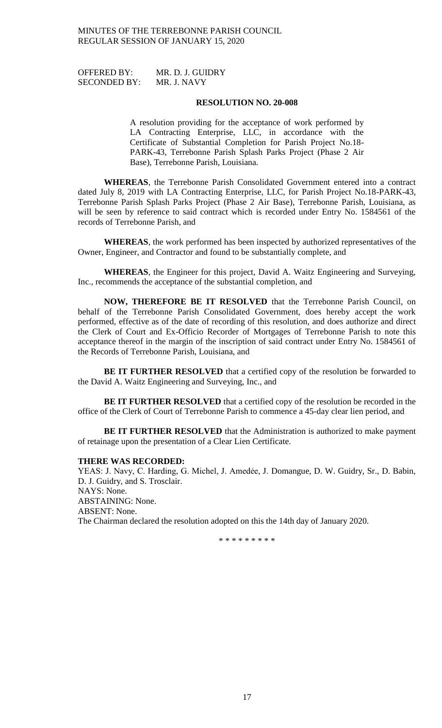OFFERED BY: MR. D. J. GUIDRY SECONDED BY: MR. J. NAVY

### **RESOLUTION NO. 20-008**

A resolution providing for the acceptance of work performed by LA Contracting Enterprise, LLC, in accordance with the Certificate of Substantial Completion for Parish Project No.18- PARK-43, Terrebonne Parish Splash Parks Project (Phase 2 Air Base), Terrebonne Parish, Louisiana.

**WHEREAS**, the Terrebonne Parish Consolidated Government entered into a contract dated July 8, 2019 with LA Contracting Enterprise, LLC, for Parish Project No.18-PARK-43, Terrebonne Parish Splash Parks Project (Phase 2 Air Base), Terrebonne Parish, Louisiana, as will be seen by reference to said contract which is recorded under Entry No. 1584561 of the records of Terrebonne Parish, and

**WHEREAS**, the work performed has been inspected by authorized representatives of the Owner, Engineer, and Contractor and found to be substantially complete, and

**WHEREAS**, the Engineer for this project, David A. Waitz Engineering and Surveying, Inc., recommends the acceptance of the substantial completion, and

**NOW, THEREFORE BE IT RESOLVED** that the Terrebonne Parish Council, on behalf of the Terrebonne Parish Consolidated Government, does hereby accept the work performed, effective as of the date of recording of this resolution, and does authorize and direct the Clerk of Court and Ex-Officio Recorder of Mortgages of Terrebonne Parish to note this acceptance thereof in the margin of the inscription of said contract under Entry No. 1584561 of the Records of Terrebonne Parish, Louisiana, and

**BE IT FURTHER RESOLVED** that a certified copy of the resolution be forwarded to the David A. Waitz Engineering and Surveying, Inc., and

**BE IT FURTHER RESOLVED** that a certified copy of the resolution be recorded in the office of the Clerk of Court of Terrebonne Parish to commence a 45-day clear lien period, and

**BE IT FURTHER RESOLVED** that the Administration is authorized to make payment of retainage upon the presentation of a Clear Lien Certificate.

### **THERE WAS RECORDED:**

YEAS: J. Navy, C. Harding, G. Michel, J. Amedėe, J. Domangue, D. W. Guidry, Sr., D. Babin, D. J. Guidry, and S. Trosclair. NAYS: None. ABSTAINING: None. ABSENT: None. The Chairman declared the resolution adopted on this the 14th day of January 2020.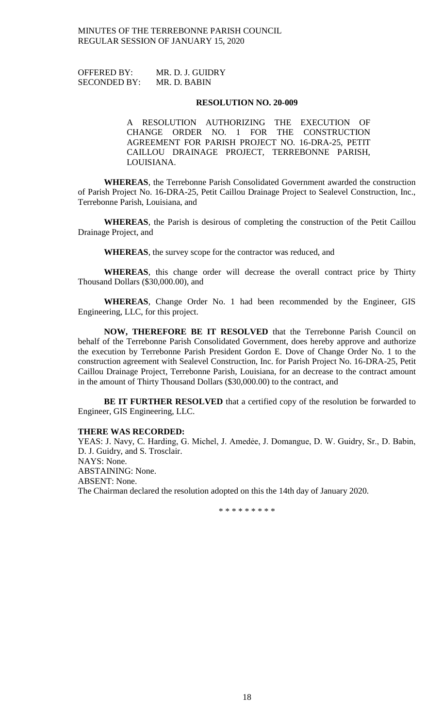OFFERED BY: MR. D. J. GUIDRY SECONDED BY: MR. D. BABIN

#### **RESOLUTION NO. 20-009**

A RESOLUTION AUTHORIZING THE EXECUTION OF CHANGE ORDER NO. 1 FOR THE CONSTRUCTION AGREEMENT FOR PARISH PROJECT NO. 16-DRA-25, PETIT CAILLOU DRAINAGE PROJECT, TERREBONNE PARISH, LOUISIANA.

**WHEREAS**, the Terrebonne Parish Consolidated Government awarded the construction of Parish Project No. 16-DRA-25, Petit Caillou Drainage Project to Sealevel Construction, Inc., Terrebonne Parish, Louisiana, and

**WHEREAS**, the Parish is desirous of completing the construction of the Petit Caillou Drainage Project, and

**WHEREAS**, the survey scope for the contractor was reduced, and

**WHEREAS**, this change order will decrease the overall contract price by Thirty Thousand Dollars (\$30,000.00), and

**WHEREAS**, Change Order No. 1 had been recommended by the Engineer, GIS Engineering, LLC, for this project.

**NOW, THEREFORE BE IT RESOLVED** that the Terrebonne Parish Council on behalf of the Terrebonne Parish Consolidated Government, does hereby approve and authorize the execution by Terrebonne Parish President Gordon E. Dove of Change Order No. 1 to the construction agreement with Sealevel Construction, Inc. for Parish Project No. 16-DRA-25, Petit Caillou Drainage Project, Terrebonne Parish, Louisiana, for an decrease to the contract amount in the amount of Thirty Thousand Dollars (\$30,000.00) to the contract, and

**BE IT FURTHER RESOLVED** that a certified copy of the resolution be forwarded to Engineer, GIS Engineering, LLC.

#### **THERE WAS RECORDED:**

YEAS: J. Navy, C. Harding, G. Michel, J. Amedėe, J. Domangue, D. W. Guidry, Sr., D. Babin, D. J. Guidry, and S. Trosclair. NAYS: None. ABSTAINING: None. ABSENT: None. The Chairman declared the resolution adopted on this the 14th day of January 2020.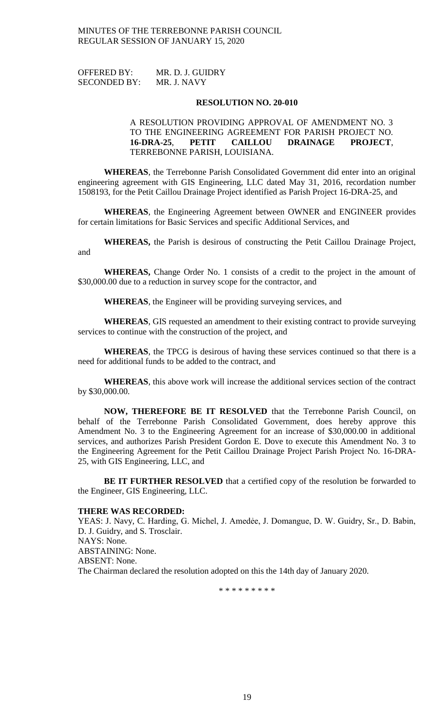OFFERED BY: MR. D. J. GUIDRY SECONDED BY: MR. J. NAVY

### **RESOLUTION NO. 20-010**

# A RESOLUTION PROVIDING APPROVAL OF AMENDMENT NO. 3 TO THE ENGINEERING AGREEMENT FOR PARISH PROJECT NO. **16-DRA-25**, **PETIT CAILLOU DRAINAGE PROJECT**, TERREBONNE PARISH, LOUISIANA.

**WHEREAS**, the Terrebonne Parish Consolidated Government did enter into an original engineering agreement with GIS Engineering, LLC dated May 31, 2016, recordation number 1508193, for the Petit Caillou Drainage Project identified as Parish Project 16-DRA-25, and

**WHEREAS**, the Engineering Agreement between OWNER and ENGINEER provides for certain limitations for Basic Services and specific Additional Services, and

**WHEREAS,** the Parish is desirous of constructing the Petit Caillou Drainage Project, and

**WHEREAS,** Change Order No. 1 consists of a credit to the project in the amount of \$30,000.00 due to a reduction in survey scope for the contractor, and

**WHEREAS**, the Engineer will be providing surveying services, and

**WHEREAS**, GIS requested an amendment to their existing contract to provide surveying services to continue with the construction of the project, and

**WHEREAS**, the TPCG is desirous of having these services continued so that there is a need for additional funds to be added to the contract, and

**WHEREAS**, this above work will increase the additional services section of the contract by \$30,000.00.

**NOW, THEREFORE BE IT RESOLVED** that the Terrebonne Parish Council, on behalf of the Terrebonne Parish Consolidated Government, does hereby approve this Amendment No. 3 to the Engineering Agreement for an increase of \$30,000.00 in additional services, and authorizes Parish President Gordon E. Dove to execute this Amendment No. 3 to the Engineering Agreement for the Petit Caillou Drainage Project Parish Project No. 16-DRA-25, with GIS Engineering, LLC, and

**BE IT FURTHER RESOLVED** that a certified copy of the resolution be forwarded to the Engineer, GIS Engineering, LLC.

## **THERE WAS RECORDED:**

YEAS: J. Navy, C. Harding, G. Michel, J. Amedée, J. Domangue, D. W. Guidry, Sr., D. Babin, D. J. Guidry, and S. Trosclair. NAYS: None. ABSTAINING: None. ABSENT: None. The Chairman declared the resolution adopted on this the 14th day of January 2020.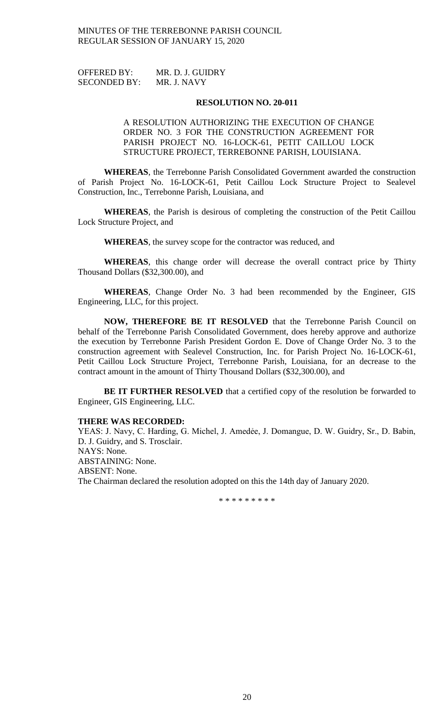OFFERED BY: MR. D. J. GUIDRY SECONDED BY: MR. J. NAVY

### **RESOLUTION NO. 20-011**

A RESOLUTION AUTHORIZING THE EXECUTION OF CHANGE ORDER NO. 3 FOR THE CONSTRUCTION AGREEMENT FOR PARISH PROJECT NO. 16-LOCK-61, PETIT CAILLOU LOCK STRUCTURE PROJECT, TERREBONNE PARISH, LOUISIANA.

**WHEREAS**, the Terrebonne Parish Consolidated Government awarded the construction of Parish Project No. 16-LOCK-61, Petit Caillou Lock Structure Project to Sealevel Construction, Inc., Terrebonne Parish, Louisiana, and

**WHEREAS**, the Parish is desirous of completing the construction of the Petit Caillou Lock Structure Project, and

**WHEREAS**, the survey scope for the contractor was reduced, and

**WHEREAS**, this change order will decrease the overall contract price by Thirty Thousand Dollars (\$32,300.00), and

**WHEREAS**, Change Order No. 3 had been recommended by the Engineer, GIS Engineering, LLC, for this project.

**NOW, THEREFORE BE IT RESOLVED** that the Terrebonne Parish Council on behalf of the Terrebonne Parish Consolidated Government, does hereby approve and authorize the execution by Terrebonne Parish President Gordon E. Dove of Change Order No. 3 to the construction agreement with Sealevel Construction, Inc. for Parish Project No. 16-LOCK-61, Petit Caillou Lock Structure Project, Terrebonne Parish, Louisiana, for an decrease to the contract amount in the amount of Thirty Thousand Dollars (\$32,300.00), and

**BE IT FURTHER RESOLVED** that a certified copy of the resolution be forwarded to Engineer, GIS Engineering, LLC.

## **THERE WAS RECORDED:**

YEAS: J. Navy, C. Harding, G. Michel, J. Amedée, J. Domangue, D. W. Guidry, Sr., D. Babin, D. J. Guidry, and S. Trosclair. NAYS: None. ABSTAINING: None. ABSENT: None. The Chairman declared the resolution adopted on this the 14th day of January 2020.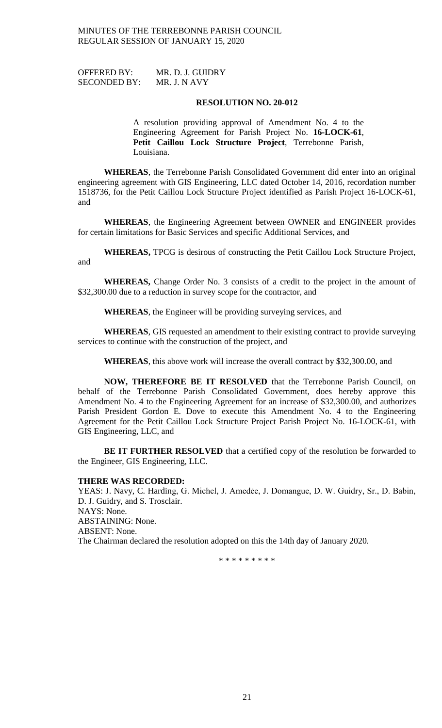OFFERED BY: MR. D. J. GUIDRY SECONDED BY: MR. J. N AVY

### **RESOLUTION NO. 20-012**

A resolution providing approval of Amendment No. 4 to the Engineering Agreement for Parish Project No. **16-LOCK-61**, **Petit Caillou Lock Structure Project**, Terrebonne Parish, Louisiana.

**WHEREAS**, the Terrebonne Parish Consolidated Government did enter into an original engineering agreement with GIS Engineering, LLC dated October 14, 2016, recordation number 1518736, for the Petit Caillou Lock Structure Project identified as Parish Project 16-LOCK-61, and

**WHEREAS**, the Engineering Agreement between OWNER and ENGINEER provides for certain limitations for Basic Services and specific Additional Services, and

**WHEREAS,** TPCG is desirous of constructing the Petit Caillou Lock Structure Project, and

**WHEREAS,** Change Order No. 3 consists of a credit to the project in the amount of \$32,300.00 due to a reduction in survey scope for the contractor, and

**WHEREAS**, the Engineer will be providing surveying services, and

**WHEREAS**, GIS requested an amendment to their existing contract to provide surveying services to continue with the construction of the project, and

**WHEREAS**, this above work will increase the overall contract by \$32,300.00, and

**NOW, THEREFORE BE IT RESOLVED** that the Terrebonne Parish Council, on behalf of the Terrebonne Parish Consolidated Government, does hereby approve this Amendment No. 4 to the Engineering Agreement for an increase of \$32,300.00, and authorizes Parish President Gordon E. Dove to execute this Amendment No. 4 to the Engineering Agreement for the Petit Caillou Lock Structure Project Parish Project No. 16-LOCK-61, with GIS Engineering, LLC, and

**BE IT FURTHER RESOLVED** that a certified copy of the resolution be forwarded to the Engineer, GIS Engineering, LLC.

### **THERE WAS RECORDED:**

YEAS: J. Navy, C. Harding, G. Michel, J. Amedée, J. Domangue, D. W. Guidry, Sr., D. Babin, D. J. Guidry, and S. Trosclair. NAYS: None. ABSTAINING: None. ABSENT: None. The Chairman declared the resolution adopted on this the 14th day of January 2020.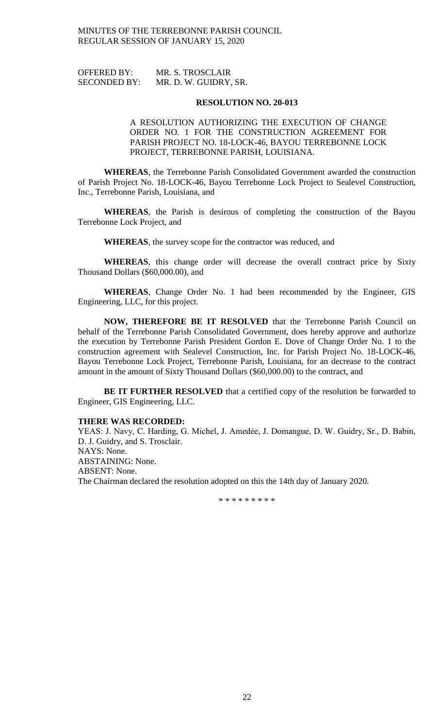| <b>OFFERED BY:</b>  | MR. S. TROSCLAIR      |
|---------------------|-----------------------|
| <b>SECONDED BY:</b> | MR. D. W. GUIDRY, SR. |

A RESOLUTION AUTHORIZING THE EXECUTION OF CHANGE ORDER NO. 1 FOR THE CONSTRUCTION AGREEMENT FOR PARISH PROJECT NO. 18-LOCK-46, BAYOU TERREBONNE LOCK PROJECT, TERREBONNE PARISH, LOUISIANA.

**WHEREAS**, the Terrebonne Parish Consolidated Government awarded the construction of Parish Project No. 18-LOCK-46, Bayou Terrebonne Lock Project to Sealevel Construction, Inc., Terrebonne Parish, Louisiana, and

**WHEREAS**, the Parish is desirous of completing the construction of the Bayou Terrebonne Lock Project, and

**WHEREAS**, the survey scope for the contractor was reduced, and

**WHEREAS**, this change order will decrease the overall contract price by Sixty Thousand Dollars (\$60,000.00), and

**WHEREAS**, Change Order No. 1 had been recommended by the Engineer, GIS Engineering, LLC, for this project.

**NOW, THEREFORE BE IT RESOLVED** that the Terrebonne Parish Council on behalf of the Terrebonne Parish Consolidated Government, does hereby approve and authorize the execution by Terrebonne Parish President Gordon E. Dove of Change Order No. 1 to the construction agreement with Sealevel Construction, Inc. for Parish Project No. 18-LOCK-46, Bayou Terrebonne Lock Project, Terrebonne Parish, Louisiana, for an decrease to the contract amount in the amount of Sixty Thousand Dollars (\$60,000.00) to the contract, and

**BE IT FURTHER RESOLVED** that a certified copy of the resolution be forwarded to Engineer, GIS Engineering, LLC.

## **THERE WAS RECORDED:**

YEAS: J. Navy, C. Harding, G. Michel, J. Amedée, J. Domangue, D. W. Guidry, Sr., D. Babin, D. J. Guidry, and S. Trosclair. NAYS: None. ABSTAINING: None. ABSENT: None. The Chairman declared the resolution adopted on this the 14th day of January 2020.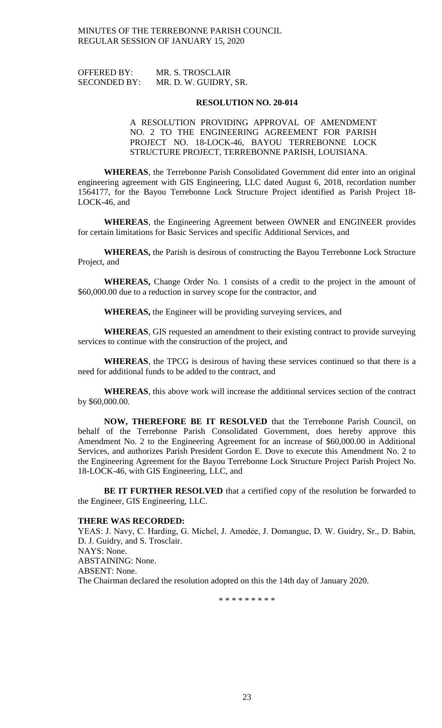| OFFERED BY:         | MR. S. TROSCLAIR      |
|---------------------|-----------------------|
| <b>SECONDED BY:</b> | MR. D. W. GUIDRY, SR. |

A RESOLUTION PROVIDING APPROVAL OF AMENDMENT NO. 2 TO THE ENGINEERING AGREEMENT FOR PARISH PROJECT NO. 18-LOCK-46, BAYOU TERREBONNE LOCK STRUCTURE PROJECT, TERREBONNE PARISH, LOUISIANA.

**WHEREAS**, the Terrebonne Parish Consolidated Government did enter into an original engineering agreement with GIS Engineering, LLC dated August 6, 2018, recordation number 1564177, for the Bayou Terrebonne Lock Structure Project identified as Parish Project 18- LOCK-46, and

**WHEREAS**, the Engineering Agreement between OWNER and ENGINEER provides for certain limitations for Basic Services and specific Additional Services, and

**WHEREAS,** the Parish is desirous of constructing the Bayou Terrebonne Lock Structure Project, and

**WHEREAS,** Change Order No. 1 consists of a credit to the project in the amount of \$60,000.00 due to a reduction in survey scope for the contractor, and

**WHEREAS,** the Engineer will be providing surveying services, and

**WHEREAS**, GIS requested an amendment to their existing contract to provide surveying services to continue with the construction of the project, and

**WHEREAS**, the TPCG is desirous of having these services continued so that there is a need for additional funds to be added to the contract, and

**WHEREAS**, this above work will increase the additional services section of the contract by \$60,000.00.

**NOW, THEREFORE BE IT RESOLVED** that the Terrebonne Parish Council, on behalf of the Terrebonne Parish Consolidated Government, does hereby approve this Amendment No. 2 to the Engineering Agreement for an increase of \$60,000.00 in Additional Services, and authorizes Parish President Gordon E. Dove to execute this Amendment No. 2 to the Engineering Agreement for the Bayou Terrebonne Lock Structure Project Parish Project No. 18-LOCK-46, with GIS Engineering, LLC, and

BE IT FURTHER RESOLVED that a certified copy of the resolution be forwarded to the Engineer, GIS Engineering, LLC.

#### **THERE WAS RECORDED:**

YEAS: J. Navy, C. Harding, G. Michel, J. Amedée, J. Domangue, D. W. Guidry, Sr., D. Babin, D. J. Guidry, and S. Trosclair. NAYS: None. ABSTAINING: None. ABSENT: None. The Chairman declared the resolution adopted on this the 14th day of January 2020.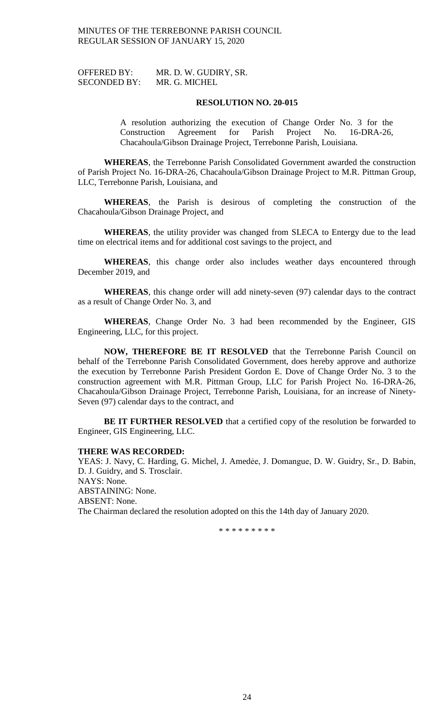| <b>OFFERED BY:</b>  | MR. D. W. GUDIRY, SR. |
|---------------------|-----------------------|
| <b>SECONDED BY:</b> | MR. G. MICHEL         |

A resolution authorizing the execution of Change Order No. 3 for the Construction Agreement for Parish Project No. 16-DRA-26, Chacahoula/Gibson Drainage Project, Terrebonne Parish, Louisiana.

**WHEREAS**, the Terrebonne Parish Consolidated Government awarded the construction of Parish Project No. 16-DRA-26, Chacahoula/Gibson Drainage Project to M.R. Pittman Group, LLC, Terrebonne Parish, Louisiana, and

**WHEREAS**, the Parish is desirous of completing the construction of the Chacahoula/Gibson Drainage Project, and

**WHEREAS**, the utility provider was changed from SLECA to Entergy due to the lead time on electrical items and for additional cost savings to the project, and

**WHEREAS**, this change order also includes weather days encountered through December 2019, and

**WHEREAS**, this change order will add ninety-seven (97) calendar days to the contract as a result of Change Order No. 3, and

**WHEREAS**, Change Order No. 3 had been recommended by the Engineer, GIS Engineering, LLC, for this project.

**NOW, THEREFORE BE IT RESOLVED** that the Terrebonne Parish Council on behalf of the Terrebonne Parish Consolidated Government, does hereby approve and authorize the execution by Terrebonne Parish President Gordon E. Dove of Change Order No. 3 to the construction agreement with M.R. Pittman Group, LLC for Parish Project No. 16-DRA-26, Chacahoula/Gibson Drainage Project, Terrebonne Parish, Louisiana, for an increase of Ninety-Seven (97) calendar days to the contract, and

**BE IT FURTHER RESOLVED** that a certified copy of the resolution be forwarded to Engineer, GIS Engineering, LLC.

### **THERE WAS RECORDED:**

YEAS: J. Navy, C. Harding, G. Michel, J. Amedée, J. Domangue, D. W. Guidry, Sr., D. Babin, D. J. Guidry, and S. Trosclair. NAYS: None. ABSTAINING: None. ABSENT: None. The Chairman declared the resolution adopted on this the 14th day of January 2020.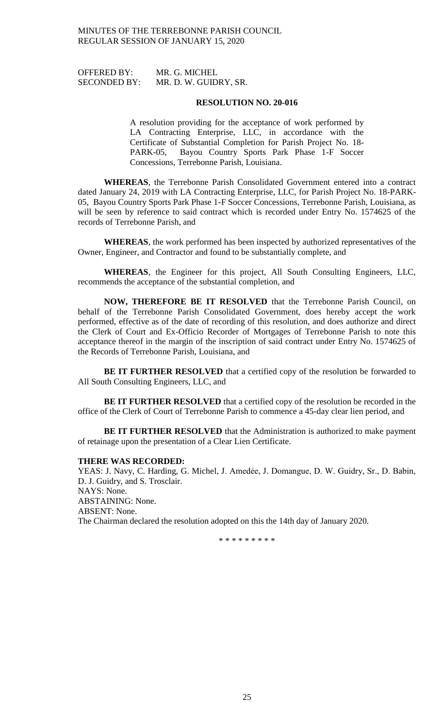| <b>OFFERED BY:</b>  | MR. G. MICHEL         |
|---------------------|-----------------------|
| <b>SECONDED BY:</b> | MR. D. W. GUIDRY, SR. |

A resolution providing for the acceptance of work performed by LA Contracting Enterprise, LLC, in accordance with the Certificate of Substantial Completion for Parish Project No. 18- PARK-05, Bayou Country Sports Park Phase 1-F Soccer Concessions, Terrebonne Parish, Louisiana.

**WHEREAS**, the Terrebonne Parish Consolidated Government entered into a contract dated January 24, 2019 with LA Contracting Enterprise, LLC, for Parish Project No. 18-PARK-05, Bayou Country Sports Park Phase 1-F Soccer Concessions, Terrebonne Parish, Louisiana, as will be seen by reference to said contract which is recorded under Entry No. 1574625 of the records of Terrebonne Parish, and

**WHEREAS**, the work performed has been inspected by authorized representatives of the Owner, Engineer, and Contractor and found to be substantially complete, and

**WHEREAS**, the Engineer for this project, All South Consulting Engineers, LLC, recommends the acceptance of the substantial completion, and

**NOW, THEREFORE BE IT RESOLVED** that the Terrebonne Parish Council, on behalf of the Terrebonne Parish Consolidated Government, does hereby accept the work performed, effective as of the date of recording of this resolution, and does authorize and direct the Clerk of Court and Ex-Officio Recorder of Mortgages of Terrebonne Parish to note this acceptance thereof in the margin of the inscription of said contract under Entry No. 1574625 of the Records of Terrebonne Parish, Louisiana, and

**BE IT FURTHER RESOLVED** that a certified copy of the resolution be forwarded to All South Consulting Engineers, LLC, and

**BE IT FURTHER RESOLVED** that a certified copy of the resolution be recorded in the office of the Clerk of Court of Terrebonne Parish to commence a 45-day clear lien period, and

**BE IT FURTHER RESOLVED** that the Administration is authorized to make payment of retainage upon the presentation of a Clear Lien Certificate.

### **THERE WAS RECORDED:**

YEAS: J. Navy, C. Harding, G. Michel, J. Amedėe, J. Domangue, D. W. Guidry, Sr., D. Babin, D. J. Guidry, and S. Trosclair. NAYS: None. ABSTAINING: None. ABSENT: None. The Chairman declared the resolution adopted on this the 14th day of January 2020.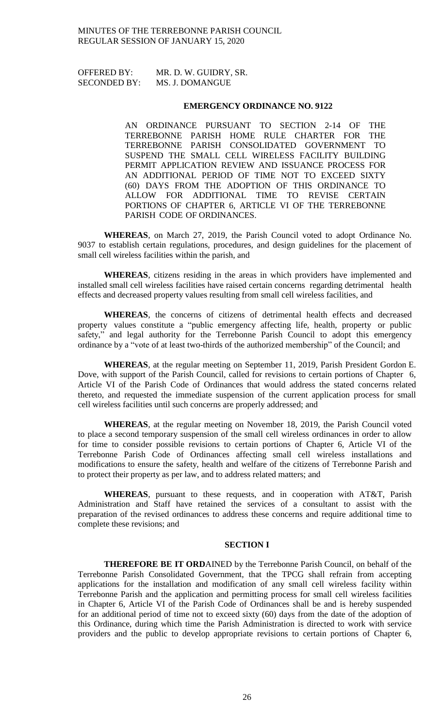| <b>OFFERED BY:</b>  | MR. D. W. GUIDRY, SR. |
|---------------------|-----------------------|
| <b>SECONDED BY:</b> | MS. J. DOMANGUE       |

### **EMERGENCY ORDINANCE NO. 9122**

AN ORDINANCE PURSUANT TO SECTION 2-14 OF THE TERREBONNE PARISH HOME RULE CHARTER FOR THE TERREBONNE PARISH CONSOLIDATED GOVERNMENT TO SUSPEND THE SMALL CELL WIRELESS FACILITY BUILDING PERMIT APPLICATION REVIEW AND ISSUANCE PROCESS FOR AN ADDITIONAL PERIOD OF TIME NOT TO EXCEED SIXTY (60) DAYS FROM THE ADOPTION OF THIS ORDINANCE TO ALLOW FOR ADDITIONAL TIME TO REVISE CERTAIN PORTIONS OF CHAPTER 6, ARTICLE VI OF THE TERREBONNE PARISH CODE OF ORDINANCES.

**WHEREAS**, on March 27, 2019, the Parish Council voted to adopt Ordinance No. 9037 to establish certain regulations, procedures, and design guidelines for the placement of small cell wireless facilities within the parish, and

**WHEREAS**, citizens residing in the areas in which providers have implemented and installed small cell wireless facilities have raised certain concerns regarding detrimental health effects and decreased property values resulting from small cell wireless facilities, and

**WHEREAS**, the concerns of citizens of detrimental health effects and decreased property values constitute a "public emergency affecting life, health, property or public safety," and legal authority for the Terrebonne Parish Council to adopt this emergency ordinance by a "vote of at least two-thirds of the authorized membership" of the Council; and

**WHEREAS**, at the regular meeting on September 11, 2019, Parish President Gordon E. Dove, with support of the Parish Council, called for revisions to certain portions of Chapter 6, Article VI of the Parish Code of Ordinances that would address the stated concerns related thereto, and requested the immediate suspension of the current application process for small cell wireless facilities until such concerns are properly addressed; and

**WHEREAS**, at the regular meeting on November 18, 2019, the Parish Council voted to place a second temporary suspension of the small cell wireless ordinances in order to allow for time to consider possible revisions to certain portions of Chapter 6, Article VI of the Terrebonne Parish Code of Ordinances affecting small cell wireless installations and modifications to ensure the safety, health and welfare of the citizens of Terrebonne Parish and to protect their property as per law, and to address related matters; and

**WHEREAS**, pursuant to these requests, and in cooperation with AT&T, Parish Administration and Staff have retained the services of a consultant to assist with the preparation of the revised ordinances to address these concerns and require additional time to complete these revisions; and

# **SECTION I**

**THEREFORE BE IT ORD**AINED by the Terrebonne Parish Council, on behalf of the Terrebonne Parish Consolidated Government, that the TPCG shall refrain from accepting applications for the installation and modification of any small cell wireless facility within Terrebonne Parish and the application and permitting process for small cell wireless facilities in Chapter 6, Article VI of the Parish Code of Ordinances shall be and is hereby suspended for an additional period of time not to exceed sixty (60) days from the date of the adoption of this Ordinance, during which time the Parish Administration is directed to work with service providers and the public to develop appropriate revisions to certain portions of Chapter 6,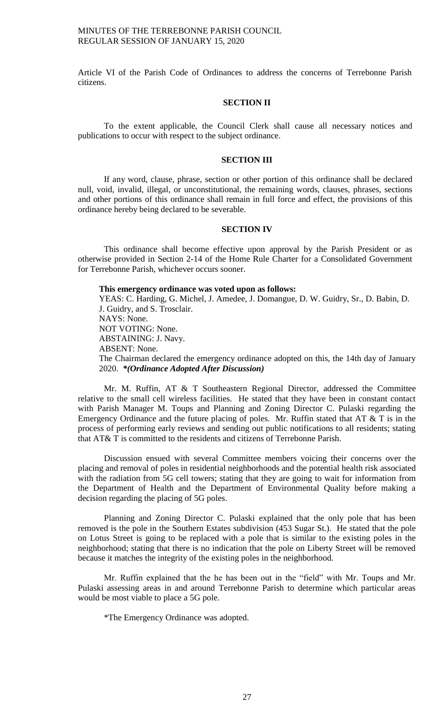Article VI of the Parish Code of Ordinances to address the concerns of Terrebonne Parish citizens.

### **SECTION II**

To the extent applicable, the Council Clerk shall cause all necessary notices and publications to occur with respect to the subject ordinance.

### **SECTION III**

If any word, clause, phrase, section or other portion of this ordinance shall be declared null, void, invalid, illegal, or unconstitutional, the remaining words, clauses, phrases, sections and other portions of this ordinance shall remain in full force and effect, the provisions of this ordinance hereby being declared to be severable.

### **SECTION IV**

This ordinance shall become effective upon approval by the Parish President or as otherwise provided in Section 2-14 of the Home Rule Charter for a Consolidated Government for Terrebonne Parish, whichever occurs sooner.

**This emergency ordinance was voted upon as follows:**

YEAS: C. Harding, G. Michel, J. Amedee, J. Domangue, D. W. Guidry, Sr., D. Babin, D. J. Guidry, and S. Trosclair. NAYS: None. NOT VOTING: None. ABSTAINING: J. Navy. ABSENT: None. The Chairman declared the emergency ordinance adopted on this, the 14th day of January 2020. *\*(Ordinance Adopted After Discussion)*

Mr. M. Ruffin, AT & T Southeastern Regional Director, addressed the Committee relative to the small cell wireless facilities. He stated that they have been in constant contact with Parish Manager M. Toups and Planning and Zoning Director C. Pulaski regarding the Emergency Ordinance and the future placing of poles. Mr. Ruffin stated that AT  $&$  T is in the process of performing early reviews and sending out public notifications to all residents; stating that AT& T is committed to the residents and citizens of Terrebonne Parish.

Discussion ensued with several Committee members voicing their concerns over the placing and removal of poles in residential neighborhoods and the potential health risk associated with the radiation from 5G cell towers; stating that they are going to wait for information from the Department of Health and the Department of Environmental Quality before making a decision regarding the placing of 5G poles.

Planning and Zoning Director C. Pulaski explained that the only pole that has been removed is the pole in the Southern Estates subdivision (453 Sugar St.). He stated that the pole on Lotus Street is going to be replaced with a pole that is similar to the existing poles in the neighborhood; stating that there is no indication that the pole on Liberty Street will be removed because it matches the integrity of the existing poles in the neighborhood.

Mr. Ruffin explained that the he has been out in the "field" with Mr. Toups and Mr. Pulaski assessing areas in and around Terrebonne Parish to determine which particular areas would be most viable to place a 5G pole.

\*The Emergency Ordinance was adopted.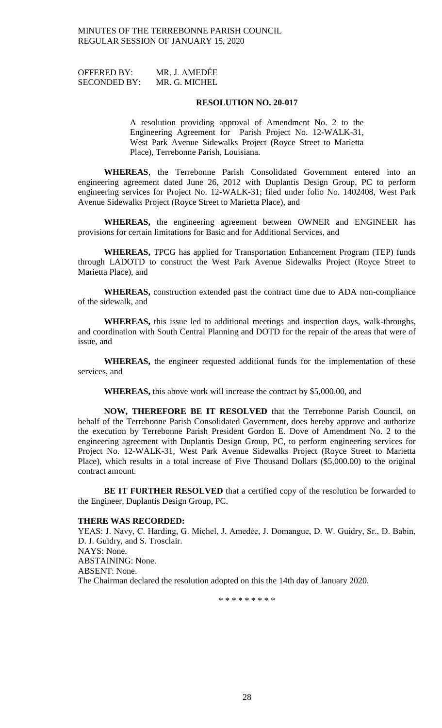| <b>OFFERED BY:</b>  | MR. J. AMEDEE |
|---------------------|---------------|
| <b>SECONDED BY:</b> | MR. G. MICHEL |

A resolution providing approval of Amendment No. 2 to the Engineering Agreement for Parish Project No. 12-WALK-31, West Park Avenue Sidewalks Project (Royce Street to Marietta Place), Terrebonne Parish, Louisiana.

**WHEREAS**, the Terrebonne Parish Consolidated Government entered into an engineering agreement dated June 26, 2012 with Duplantis Design Group, PC to perform engineering services for Project No. 12-WALK-31; filed under folio No. 1402408, West Park Avenue Sidewalks Project (Royce Street to Marietta Place), and

**WHEREAS,** the engineering agreement between OWNER and ENGINEER has provisions for certain limitations for Basic and for Additional Services, and

**WHEREAS,** TPCG has applied for Transportation Enhancement Program (TEP) funds through LADOTD to construct the West Park Avenue Sidewalks Project (Royce Street to Marietta Place), and

**WHEREAS,** construction extended past the contract time due to ADA non-compliance of the sidewalk, and

**WHEREAS,** this issue led to additional meetings and inspection days, walk-throughs, and coordination with South Central Planning and DOTD for the repair of the areas that were of issue, and

**WHEREAS,** the engineer requested additional funds for the implementation of these services, and

**WHEREAS,** this above work will increase the contract by \$5,000.00, and

**NOW, THEREFORE BE IT RESOLVED** that the Terrebonne Parish Council, on behalf of the Terrebonne Parish Consolidated Government, does hereby approve and authorize the execution by Terrebonne Parish President Gordon E. Dove of Amendment No. 2 to the engineering agreement with Duplantis Design Group, PC, to perform engineering services for Project No. 12-WALK-31, West Park Avenue Sidewalks Project (Royce Street to Marietta Place), which results in a total increase of Five Thousand Dollars (\$5,000.00) to the original contract amount.

BE IT FURTHER RESOLVED that a certified copy of the resolution be forwarded to the Engineer, Duplantis Design Group, PC.

#### **THERE WAS RECORDED:**

YEAS: J. Navy, C. Harding, G. Michel, J. Amedée, J. Domangue, D. W. Guidry, Sr., D. Babin, D. J. Guidry, and S. Trosclair. NAYS: None. ABSTAINING: None. ABSENT: None. The Chairman declared the resolution adopted on this the 14th day of January 2020.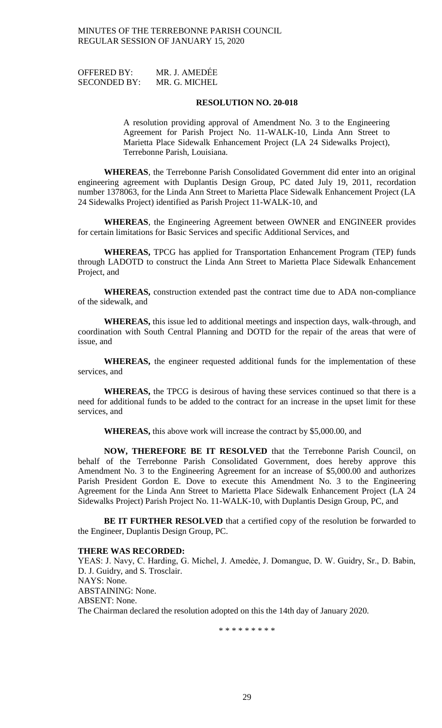| <b>OFFERED BY:</b>  | MR. J. AMEDEE |
|---------------------|---------------|
| <b>SECONDED BY:</b> | MR. G. MICHEL |

A resolution providing approval of Amendment No. 3 to the Engineering Agreement for Parish Project No. 11-WALK-10, Linda Ann Street to Marietta Place Sidewalk Enhancement Project (LA 24 Sidewalks Project), Terrebonne Parish, Louisiana.

**WHEREAS**, the Terrebonne Parish Consolidated Government did enter into an original engineering agreement with Duplantis Design Group, PC dated July 19, 2011, recordation number 1378063, for the Linda Ann Street to Marietta Place Sidewalk Enhancement Project (LA 24 Sidewalks Project) identified as Parish Project 11-WALK-10, and

**WHEREAS**, the Engineering Agreement between OWNER and ENGINEER provides for certain limitations for Basic Services and specific Additional Services, and

**WHEREAS,** TPCG has applied for Transportation Enhancement Program (TEP) funds through LADOTD to construct the Linda Ann Street to Marietta Place Sidewalk Enhancement Project, and

**WHEREAS,** construction extended past the contract time due to ADA non-compliance of the sidewalk, and

**WHEREAS,** this issue led to additional meetings and inspection days, walk-through, and coordination with South Central Planning and DOTD for the repair of the areas that were of issue, and

**WHEREAS,** the engineer requested additional funds for the implementation of these services, and

**WHEREAS,** the TPCG is desirous of having these services continued so that there is a need for additional funds to be added to the contract for an increase in the upset limit for these services, and

**WHEREAS,** this above work will increase the contract by \$5,000.00, and

**NOW, THEREFORE BE IT RESOLVED** that the Terrebonne Parish Council, on behalf of the Terrebonne Parish Consolidated Government, does hereby approve this Amendment No. 3 to the Engineering Agreement for an increase of \$5,000.00 and authorizes Parish President Gordon E. Dove to execute this Amendment No. 3 to the Engineering Agreement for the Linda Ann Street to Marietta Place Sidewalk Enhancement Project (LA 24 Sidewalks Project) Parish Project No. 11-WALK-10, with Duplantis Design Group, PC, and

**BE IT FURTHER RESOLVED** that a certified copy of the resolution be forwarded to the Engineer, Duplantis Design Group, PC.

### **THERE WAS RECORDED:**

YEAS: J. Navy, C. Harding, G. Michel, J. Amedée, J. Domangue, D. W. Guidry, Sr., D. Babin, D. J. Guidry, and S. Trosclair. NAYS: None. ABSTAINING: None. ABSENT: None. The Chairman declared the resolution adopted on this the 14th day of January 2020.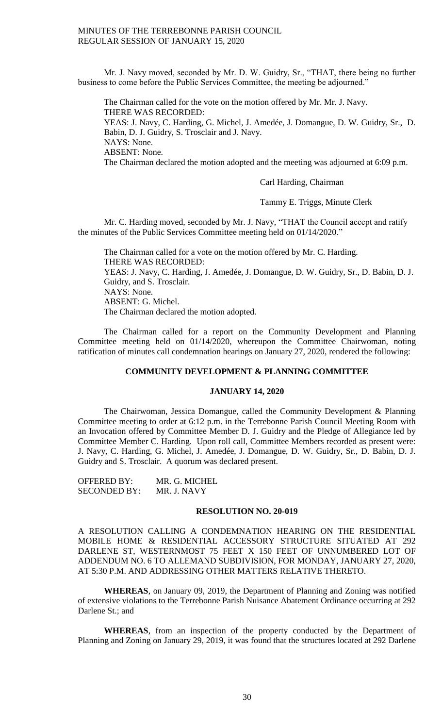Mr. J. Navy moved, seconded by Mr. D. W. Guidry, Sr., "THAT, there being no further business to come before the Public Services Committee, the meeting be adjourned."

The Chairman called for the vote on the motion offered by Mr. Mr. J. Navy. THERE WAS RECORDED: YEAS: J. Navy, C. Harding, G. Michel, J. Amedée, J. Domangue, D. W. Guidry, Sr., D. Babin, D. J. Guidry, S. Trosclair and J. Navy. NAYS: None. ABSENT: None. The Chairman declared the motion adopted and the meeting was adjourned at 6:09 p.m.

Carl Harding, Chairman

Tammy E. Triggs, Minute Clerk

Mr. C. Harding moved, seconded by Mr. J. Navy, "THAT the Council accept and ratify the minutes of the Public Services Committee meeting held on 01/14/2020."

The Chairman called for a vote on the motion offered by Mr. C. Harding. THERE WAS RECORDED: YEAS: J. Navy, C. Harding, J. Amedée, J. Domangue, D. W. Guidry, Sr., D. Babin, D. J. Guidry, and S. Trosclair. NAYS: None. ABSENT: G. Michel. The Chairman declared the motion adopted.

The Chairman called for a report on the Community Development and Planning Committee meeting held on 01/14/2020, whereupon the Committee Chairwoman, noting ratification of minutes call condemnation hearings on January 27, 2020, rendered the following:

# **COMMUNITY DEVELOPMENT & PLANNING COMMITTEE**

### **JANUARY 14, 2020**

The Chairwoman, Jessica Domangue, called the Community Development & Planning Committee meeting to order at 6:12 p.m. in the Terrebonne Parish Council Meeting Room with an Invocation offered by Committee Member D. J. Guidry and the Pledge of Allegiance led by Committee Member C. Harding. Upon roll call, Committee Members recorded as present were: J. Navy, C. Harding, G. Michel, J. Amedée, J. Domangue, D. W. Guidry, Sr., D. Babin, D. J. Guidry and S. Trosclair. A quorum was declared present.

| <b>OFFERED BY:</b>  | MR. G. MICHEL |
|---------------------|---------------|
| <b>SECONDED BY:</b> | MR. J. NAVY   |

### **RESOLUTION NO. 20-019**

A RESOLUTION CALLING A CONDEMNATION HEARING ON THE RESIDENTIAL MOBILE HOME & RESIDENTIAL ACCESSORY STRUCTURE SITUATED AT 292 DARLENE ST, WESTERNMOST 75 FEET X 150 FEET OF UNNUMBERED LOT OF ADDENDUM NO. 6 TO ALLEMAND SUBDIVISION, FOR MONDAY, JANUARY 27, 2020, AT 5:30 P.M. AND ADDRESSING OTHER MATTERS RELATIVE THERETO.

**WHEREAS**, on January 09, 2019, the Department of Planning and Zoning was notified of extensive violations to the Terrebonne Parish Nuisance Abatement Ordinance occurring at 292 Darlene St.; and

**WHEREAS**, from an inspection of the property conducted by the Department of Planning and Zoning on January 29, 2019, it was found that the structures located at 292 Darlene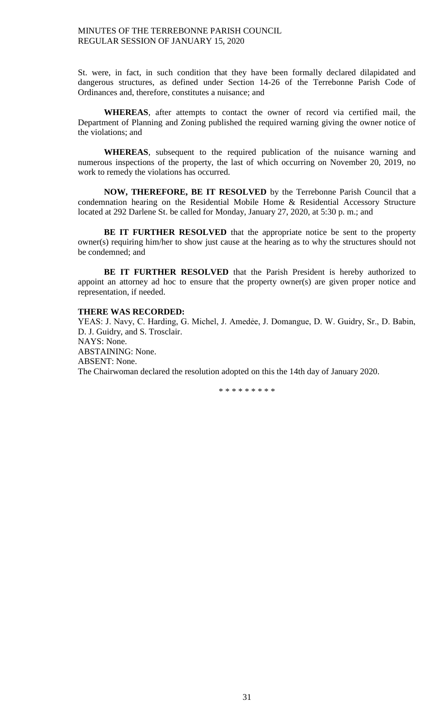St. were, in fact, in such condition that they have been formally declared dilapidated and dangerous structures, as defined under Section 14-26 of the Terrebonne Parish Code of Ordinances and, therefore, constitutes a nuisance; and

**WHEREAS**, after attempts to contact the owner of record via certified mail, the Department of Planning and Zoning published the required warning giving the owner notice of the violations; and

**WHEREAS**, subsequent to the required publication of the nuisance warning and numerous inspections of the property, the last of which occurring on November 20, 2019, no work to remedy the violations has occurred.

**NOW, THEREFORE, BE IT RESOLVED** by the Terrebonne Parish Council that a condemnation hearing on the Residential Mobile Home & Residential Accessory Structure located at 292 Darlene St. be called for Monday, January 27, 2020, at 5:30 p. m.; and

**BE IT FURTHER RESOLVED** that the appropriate notice be sent to the property owner(s) requiring him/her to show just cause at the hearing as to why the structures should not be condemned; and

**BE IT FURTHER RESOLVED** that the Parish President is hereby authorized to appoint an attorney ad hoc to ensure that the property owner(s) are given proper notice and representation, if needed.

# **THERE WAS RECORDED:**

YEAS: J. Navy, C. Harding, G. Michel, J. Amedėe, J. Domangue, D. W. Guidry, Sr., D. Babin, D. J. Guidry, and S. Trosclair. NAYS: None. ABSTAINING: None. ABSENT: None. The Chairwoman declared the resolution adopted on this the 14th day of January 2020.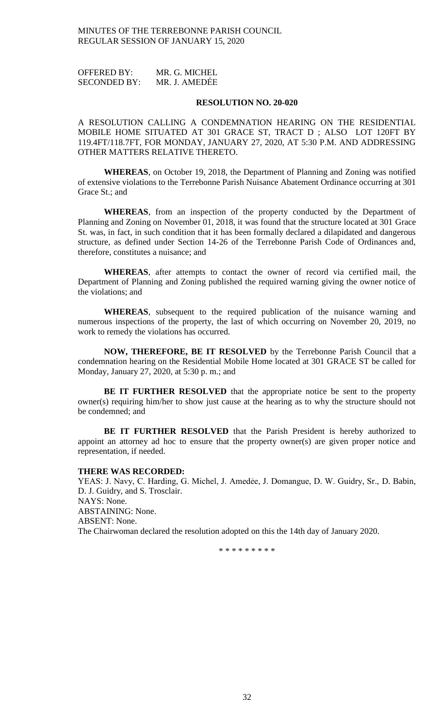OFFERED BY: MR. G. MICHEL SECONDED BY: MR. J. AMEDẾE

### **RESOLUTION NO. 20-020**

A RESOLUTION CALLING A CONDEMNATION HEARING ON THE RESIDENTIAL MOBILE HOME SITUATED AT 301 GRACE ST, TRACT D ; ALSO LOT 120FT BY 119.4FT/118.7FT, FOR MONDAY, JANUARY 27, 2020, AT 5:30 P.M. AND ADDRESSING OTHER MATTERS RELATIVE THERETO.

**WHEREAS**, on October 19, 2018, the Department of Planning and Zoning was notified of extensive violations to the Terrebonne Parish Nuisance Abatement Ordinance occurring at 301 Grace St.; and

**WHEREAS**, from an inspection of the property conducted by the Department of Planning and Zoning on November 01, 2018, it was found that the structure located at 301 Grace St. was, in fact, in such condition that it has been formally declared a dilapidated and dangerous structure, as defined under Section 14-26 of the Terrebonne Parish Code of Ordinances and, therefore, constitutes a nuisance; and

**WHEREAS**, after attempts to contact the owner of record via certified mail, the Department of Planning and Zoning published the required warning giving the owner notice of the violations; and

**WHEREAS**, subsequent to the required publication of the nuisance warning and numerous inspections of the property, the last of which occurring on November 20, 2019, no work to remedy the violations has occurred.

**NOW, THEREFORE, BE IT RESOLVED** by the Terrebonne Parish Council that a condemnation hearing on the Residential Mobile Home located at 301 GRACE ST be called for Monday, January 27, 2020, at 5:30 p. m.; and

**BE IT FURTHER RESOLVED** that the appropriate notice be sent to the property owner(s) requiring him/her to show just cause at the hearing as to why the structure should not be condemned; and

**BE IT FURTHER RESOLVED** that the Parish President is hereby authorized to appoint an attorney ad hoc to ensure that the property owner(s) are given proper notice and representation, if needed.

## **THERE WAS RECORDED:**

YEAS: J. Navy, C. Harding, G. Michel, J. Amedẻe, J. Domangue, D. W. Guidry, Sr., D. Babin, D. J. Guidry, and S. Trosclair. NAYS: None. ABSTAINING: None. ABSENT: None. The Chairwoman declared the resolution adopted on this the 14th day of January 2020.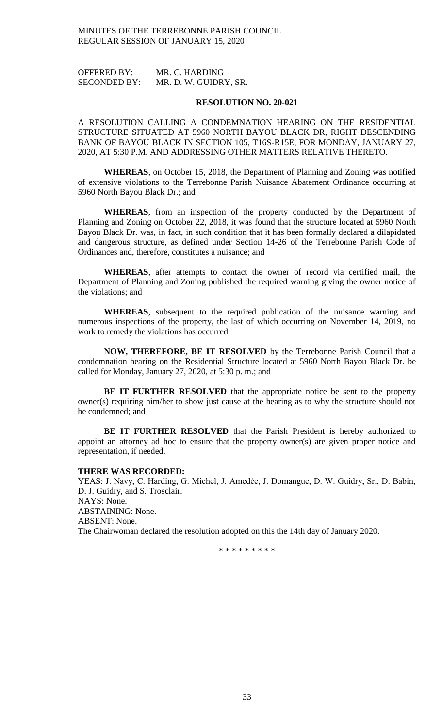OFFERED BY: MR. C. HARDING SECONDED BY: MR. D. W. GUIDRY, SR.

### **RESOLUTION NO. 20-021**

A RESOLUTION CALLING A CONDEMNATION HEARING ON THE RESIDENTIAL STRUCTURE SITUATED AT 5960 NORTH BAYOU BLACK DR, RIGHT DESCENDING BANK OF BAYOU BLACK IN SECTION 105, T16S-R15E, FOR MONDAY, JANUARY 27, 2020, AT 5:30 P.M. AND ADDRESSING OTHER MATTERS RELATIVE THERETO.

**WHEREAS**, on October 15, 2018, the Department of Planning and Zoning was notified of extensive violations to the Terrebonne Parish Nuisance Abatement Ordinance occurring at 5960 North Bayou Black Dr.; and

**WHEREAS**, from an inspection of the property conducted by the Department of Planning and Zoning on October 22, 2018, it was found that the structure located at 5960 North Bayou Black Dr. was, in fact, in such condition that it has been formally declared a dilapidated and dangerous structure, as defined under Section 14-26 of the Terrebonne Parish Code of Ordinances and, therefore, constitutes a nuisance; and

**WHEREAS**, after attempts to contact the owner of record via certified mail, the Department of Planning and Zoning published the required warning giving the owner notice of the violations; and

**WHEREAS**, subsequent to the required publication of the nuisance warning and numerous inspections of the property, the last of which occurring on November 14, 2019, no work to remedy the violations has occurred.

**NOW, THEREFORE, BE IT RESOLVED** by the Terrebonne Parish Council that a condemnation hearing on the Residential Structure located at 5960 North Bayou Black Dr. be called for Monday, January 27, 2020, at 5:30 p. m.; and

**BE IT FURTHER RESOLVED** that the appropriate notice be sent to the property owner(s) requiring him/her to show just cause at the hearing as to why the structure should not be condemned; and

**BE IT FURTHER RESOLVED** that the Parish President is hereby authorized to appoint an attorney ad hoc to ensure that the property owner(s) are given proper notice and representation, if needed.

## **THERE WAS RECORDED:**

YEAS: J. Navy, C. Harding, G. Michel, J. Amedėe, J. Domangue, D. W. Guidry, Sr., D. Babin, D. J. Guidry, and S. Trosclair. NAYS: None. ABSTAINING: None. ABSENT: None. The Chairwoman declared the resolution adopted on this the 14th day of January 2020.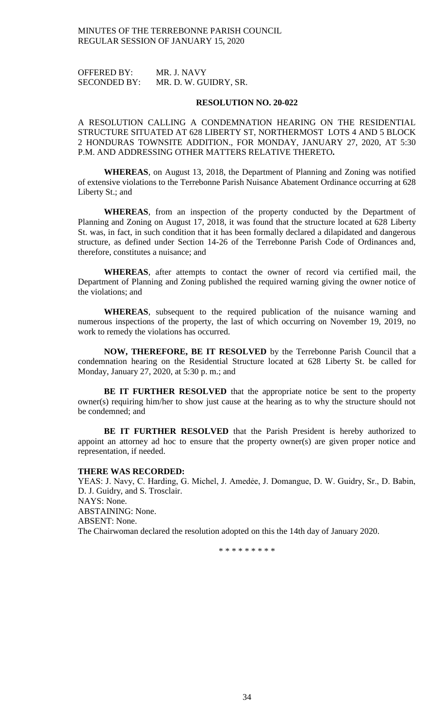OFFERED BY: MR. J. NAVY SECONDED BY: MR. D. W. GUIDRY, SR.

### **RESOLUTION NO. 20-022**

A RESOLUTION CALLING A CONDEMNATION HEARING ON THE RESIDENTIAL STRUCTURE SITUATED AT 628 LIBERTY ST, NORTHERMOST LOTS 4 AND 5 BLOCK 2 HONDURAS TOWNSITE ADDITION., FOR MONDAY, JANUARY 27, 2020, AT 5:30 P.M. AND ADDRESSING OTHER MATTERS RELATIVE THERETO**.**

**WHEREAS**, on August 13, 2018, the Department of Planning and Zoning was notified of extensive violations to the Terrebonne Parish Nuisance Abatement Ordinance occurring at 628 Liberty St.; and

**WHEREAS**, from an inspection of the property conducted by the Department of Planning and Zoning on August 17, 2018, it was found that the structure located at 628 Liberty St. was, in fact, in such condition that it has been formally declared a dilapidated and dangerous structure, as defined under Section 14-26 of the Terrebonne Parish Code of Ordinances and, therefore, constitutes a nuisance; and

**WHEREAS**, after attempts to contact the owner of record via certified mail, the Department of Planning and Zoning published the required warning giving the owner notice of the violations; and

**WHEREAS**, subsequent to the required publication of the nuisance warning and numerous inspections of the property, the last of which occurring on November 19, 2019, no work to remedy the violations has occurred.

**NOW, THEREFORE, BE IT RESOLVED** by the Terrebonne Parish Council that a condemnation hearing on the Residential Structure located at 628 Liberty St. be called for Monday, January 27, 2020, at 5:30 p. m.; and

**BE IT FURTHER RESOLVED** that the appropriate notice be sent to the property owner(s) requiring him/her to show just cause at the hearing as to why the structure should not be condemned; and

**BE IT FURTHER RESOLVED** that the Parish President is hereby authorized to appoint an attorney ad hoc to ensure that the property owner(s) are given proper notice and representation, if needed.

### **THERE WAS RECORDED:**

YEAS: J. Navy, C. Harding, G. Michel, J. Amedẻe, J. Domangue, D. W. Guidry, Sr., D. Babin, D. J. Guidry, and S. Trosclair. NAYS: None. ABSTAINING: None. ABSENT: None. The Chairwoman declared the resolution adopted on this the 14th day of January 2020.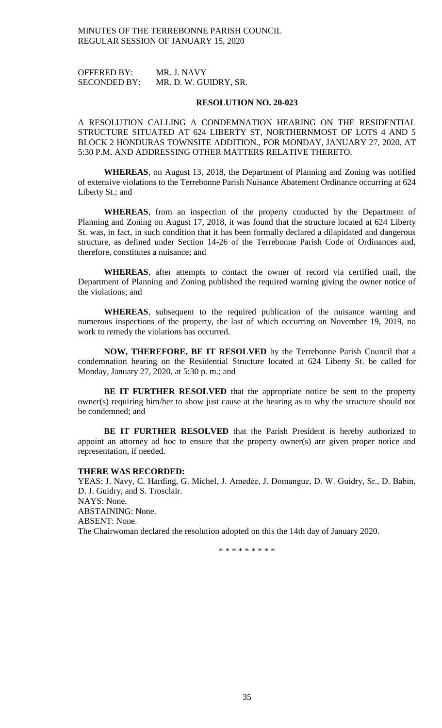OFFERED BY: MR. J. NAVY SECONDED BY: MR. D. W. GUIDRY, SR.

### **RESOLUTION NO. 20-023**

A RESOLUTION CALLING A CONDEMNATION HEARING ON THE RESIDENTIAL STRUCTURE SITUATED AT 624 LIBERTY ST, NORTHERNMOST OF LOTS 4 AND 5 BLOCK 2 HONDURAS TOWNSITE ADDITION., FOR MONDAY, JANUARY 27, 2020, AT 5:30 P.M. AND ADDRESSING OTHER MATTERS RELATIVE THERETO.

**WHEREAS**, on August 13, 2018, the Department of Planning and Zoning was notified of extensive violations to the Terrebonne Parish Nuisance Abatement Ordinance occurring at 624 Liberty St.; and

**WHEREAS**, from an inspection of the property conducted by the Department of Planning and Zoning on August 17, 2018, it was found that the structure located at 624 Liberty St. was, in fact, in such condition that it has been formally declared a dilapidated and dangerous structure, as defined under Section 14-26 of the Terrebonne Parish Code of Ordinances and, therefore, constitutes a nuisance; and

**WHEREAS**, after attempts to contact the owner of record via certified mail, the Department of Planning and Zoning published the required warning giving the owner notice of the violations; and

**WHEREAS**, subsequent to the required publication of the nuisance warning and numerous inspections of the property, the last of which occurring on November 19, 2019, no work to remedy the violations has occurred.

**NOW, THEREFORE, BE IT RESOLVED** by the Terrebonne Parish Council that a condemnation hearing on the Residential Structure located at 624 Liberty St. be called for Monday, January 27, 2020, at 5:30 p. m.; and

**BE IT FURTHER RESOLVED** that the appropriate notice be sent to the property owner(s) requiring him/her to show just cause at the hearing as to why the structure should not be condemned; and

**BE IT FURTHER RESOLVED** that the Parish President is hereby authorized to appoint an attorney ad hoc to ensure that the property owner(s) are given proper notice and representation, if needed.

### **THERE WAS RECORDED:**

YEAS: J. Navy, C. Harding, G. Michel, J. Amedėe, J. Domangue, D. W. Guidry, Sr., D. Babin, D. J. Guidry, and S. Trosclair. NAYS: None. ABSTAINING: None. ABSENT: None. The Chairwoman declared the resolution adopted on this the 14th day of January 2020.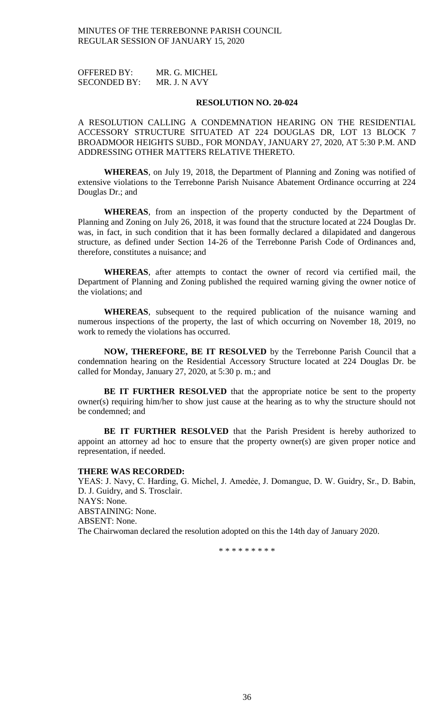OFFERED BY: MR. G. MICHEL SECONDED BY: MR. J. N AVY

### **RESOLUTION NO. 20-024**

A RESOLUTION CALLING A CONDEMNATION HEARING ON THE RESIDENTIAL ACCESSORY STRUCTURE SITUATED AT 224 DOUGLAS DR, LOT 13 BLOCK 7 BROADMOOR HEIGHTS SUBD., FOR MONDAY, JANUARY 27, 2020, AT 5:30 P.M. AND ADDRESSING OTHER MATTERS RELATIVE THERETO.

**WHEREAS**, on July 19, 2018, the Department of Planning and Zoning was notified of extensive violations to the Terrebonne Parish Nuisance Abatement Ordinance occurring at 224 Douglas Dr.; and

**WHEREAS**, from an inspection of the property conducted by the Department of Planning and Zoning on July 26, 2018, it was found that the structure located at 224 Douglas Dr. was, in fact, in such condition that it has been formally declared a dilapidated and dangerous structure, as defined under Section 14-26 of the Terrebonne Parish Code of Ordinances and, therefore, constitutes a nuisance; and

**WHEREAS**, after attempts to contact the owner of record via certified mail, the Department of Planning and Zoning published the required warning giving the owner notice of the violations; and

**WHEREAS**, subsequent to the required publication of the nuisance warning and numerous inspections of the property, the last of which occurring on November 18, 2019, no work to remedy the violations has occurred.

**NOW, THEREFORE, BE IT RESOLVED** by the Terrebonne Parish Council that a condemnation hearing on the Residential Accessory Structure located at 224 Douglas Dr. be called for Monday, January 27, 2020, at 5:30 p. m.; and

**BE IT FURTHER RESOLVED** that the appropriate notice be sent to the property owner(s) requiring him/her to show just cause at the hearing as to why the structure should not be condemned; and

**BE IT FURTHER RESOLVED** that the Parish President is hereby authorized to appoint an attorney ad hoc to ensure that the property owner(s) are given proper notice and representation, if needed.

### **THERE WAS RECORDED:**

YEAS: J. Navy, C. Harding, G. Michel, J. Amedẻe, J. Domangue, D. W. Guidry, Sr., D. Babin, D. J. Guidry, and S. Trosclair. NAYS: None. ABSTAINING: None. ABSENT: None. The Chairwoman declared the resolution adopted on this the 14th day of January 2020.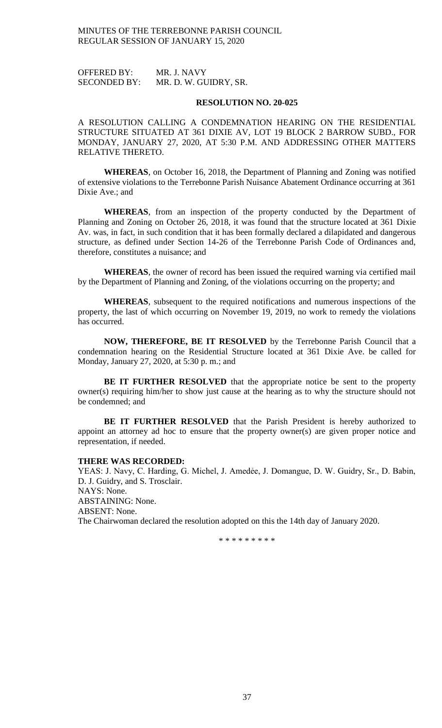OFFERED BY: MR. J. NAVY SECONDED BY: MR. D. W. GUIDRY, SR.

### **RESOLUTION NO. 20-025**

A RESOLUTION CALLING A CONDEMNATION HEARING ON THE RESIDENTIAL STRUCTURE SITUATED AT 361 DIXIE AV, LOT 19 BLOCK 2 BARROW SUBD., FOR MONDAY, JANUARY 27, 2020, AT 5:30 P.M. AND ADDRESSING OTHER MATTERS RELATIVE THERETO.

**WHEREAS**, on October 16, 2018, the Department of Planning and Zoning was notified of extensive violations to the Terrebonne Parish Nuisance Abatement Ordinance occurring at 361 Dixie Ave.; and

**WHEREAS**, from an inspection of the property conducted by the Department of Planning and Zoning on October 26, 2018, it was found that the structure located at 361 Dixie Av. was, in fact, in such condition that it has been formally declared a dilapidated and dangerous structure, as defined under Section 14-26 of the Terrebonne Parish Code of Ordinances and, therefore, constitutes a nuisance; and

**WHEREAS**, the owner of record has been issued the required warning via certified mail by the Department of Planning and Zoning, of the violations occurring on the property; and

**WHEREAS**, subsequent to the required notifications and numerous inspections of the property, the last of which occurring on November 19, 2019, no work to remedy the violations has occurred.

**NOW, THEREFORE, BE IT RESOLVED** by the Terrebonne Parish Council that a condemnation hearing on the Residential Structure located at 361 Dixie Ave. be called for Monday, January 27, 2020, at 5:30 p. m.; and

**BE IT FURTHER RESOLVED** that the appropriate notice be sent to the property owner(s) requiring him/her to show just cause at the hearing as to why the structure should not be condemned; and

**BE IT FURTHER RESOLVED** that the Parish President is hereby authorized to appoint an attorney ad hoc to ensure that the property owner(s) are given proper notice and representation, if needed.

### **THERE WAS RECORDED:**

YEAS: J. Navy, C. Harding, G. Michel, J. Amedée, J. Domangue, D. W. Guidry, Sr., D. Babin, D. J. Guidry, and S. Trosclair. NAYS: None. ABSTAINING: None. ABSENT: None. The Chairwoman declared the resolution adopted on this the 14th day of January 2020.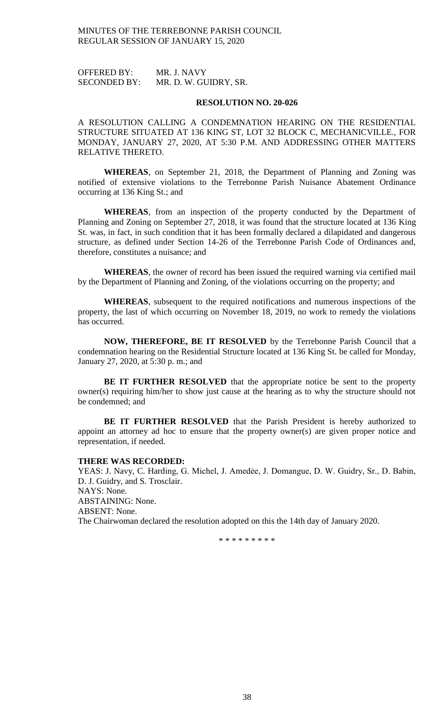OFFERED BY: MR. J. NAVY SECONDED BY: MR. D. W. GUIDRY, SR.

### **RESOLUTION NO. 20-026**

A RESOLUTION CALLING A CONDEMNATION HEARING ON THE RESIDENTIAL STRUCTURE SITUATED AT 136 KING ST, LOT 32 BLOCK C, MECHANICVILLE., FOR MONDAY, JANUARY 27, 2020, AT 5:30 P.M. AND ADDRESSING OTHER MATTERS RELATIVE THERETO.

**WHEREAS**, on September 21, 2018, the Department of Planning and Zoning was notified of extensive violations to the Terrebonne Parish Nuisance Abatement Ordinance occurring at 136 King St.; and

**WHEREAS**, from an inspection of the property conducted by the Department of Planning and Zoning on September 27, 2018, it was found that the structure located at 136 King St. was, in fact, in such condition that it has been formally declared a dilapidated and dangerous structure, as defined under Section 14-26 of the Terrebonne Parish Code of Ordinances and, therefore, constitutes a nuisance; and

**WHEREAS**, the owner of record has been issued the required warning via certified mail by the Department of Planning and Zoning, of the violations occurring on the property; and

**WHEREAS**, subsequent to the required notifications and numerous inspections of the property, the last of which occurring on November 18, 2019, no work to remedy the violations has occurred.

**NOW, THEREFORE, BE IT RESOLVED** by the Terrebonne Parish Council that a condemnation hearing on the Residential Structure located at 136 King St. be called for Monday, January 27, 2020, at 5:30 p. m.; and

**BE IT FURTHER RESOLVED** that the appropriate notice be sent to the property owner(s) requiring him/her to show just cause at the hearing as to why the structure should not be condemned; and

**BE IT FURTHER RESOLVED** that the Parish President is hereby authorized to appoint an attorney ad hoc to ensure that the property owner(s) are given proper notice and representation, if needed.

### **THERE WAS RECORDED:**

YEAS: J. Navy, C. Harding, G. Michel, J. Amedėe, J. Domangue, D. W. Guidry, Sr., D. Babin, D. J. Guidry, and S. Trosclair. NAYS: None. ABSTAINING: None. ABSENT: None. The Chairwoman declared the resolution adopted on this the 14th day of January 2020.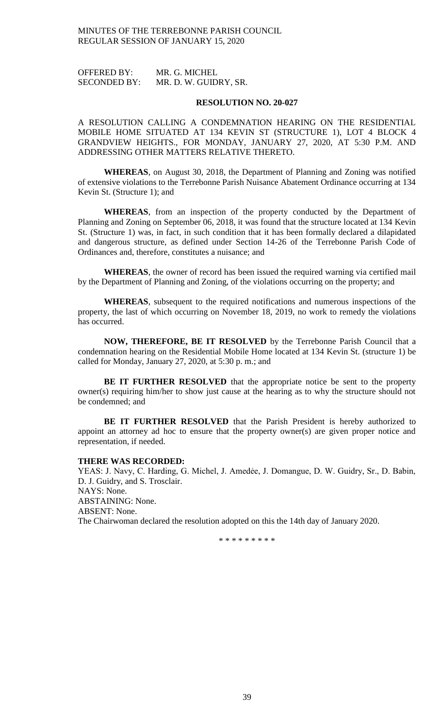OFFERED BY: MR. G. MICHEL SECONDED BY: MR. D. W. GUIDRY, SR.

### **RESOLUTION NO. 20-027**

A RESOLUTION CALLING A CONDEMNATION HEARING ON THE RESIDENTIAL MOBILE HOME SITUATED AT 134 KEVIN ST (STRUCTURE 1), LOT 4 BLOCK 4 GRANDVIEW HEIGHTS., FOR MONDAY, JANUARY 27, 2020, AT 5:30 P.M. AND ADDRESSING OTHER MATTERS RELATIVE THERETO.

**WHEREAS**, on August 30, 2018, the Department of Planning and Zoning was notified of extensive violations to the Terrebonne Parish Nuisance Abatement Ordinance occurring at 134 Kevin St. (Structure 1); and

**WHEREAS**, from an inspection of the property conducted by the Department of Planning and Zoning on September 06, 2018, it was found that the structure located at 134 Kevin St. (Structure 1) was, in fact, in such condition that it has been formally declared a dilapidated and dangerous structure, as defined under Section 14-26 of the Terrebonne Parish Code of Ordinances and, therefore, constitutes a nuisance; and

**WHEREAS**, the owner of record has been issued the required warning via certified mail by the Department of Planning and Zoning, of the violations occurring on the property; and

**WHEREAS**, subsequent to the required notifications and numerous inspections of the property, the last of which occurring on November 18, 2019, no work to remedy the violations has occurred.

**NOW, THEREFORE, BE IT RESOLVED** by the Terrebonne Parish Council that a condemnation hearing on the Residential Mobile Home located at 134 Kevin St. (structure 1) be called for Monday, January 27, 2020, at 5:30 p. m.; and

**BE IT FURTHER RESOLVED** that the appropriate notice be sent to the property owner(s) requiring him/her to show just cause at the hearing as to why the structure should not be condemned; and

**BE IT FURTHER RESOLVED** that the Parish President is hereby authorized to appoint an attorney ad hoc to ensure that the property owner(s) are given proper notice and representation, if needed.

### **THERE WAS RECORDED:**

YEAS: J. Navy, C. Harding, G. Michel, J. Amedėe, J. Domangue, D. W. Guidry, Sr., D. Babin, D. J. Guidry, and S. Trosclair. NAYS: None. ABSTAINING: None. ABSENT: None. The Chairwoman declared the resolution adopted on this the 14th day of January 2020.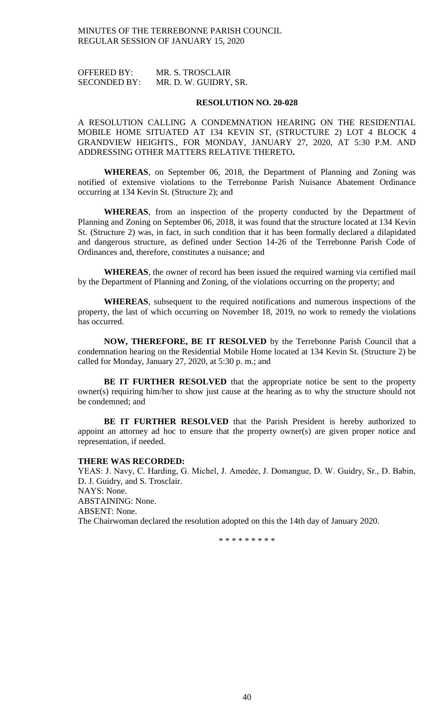OFFERED BY: MR. S. TROSCLAIR SECONDED BY: MR. D. W. GUIDRY, SR.

### **RESOLUTION NO. 20-028**

A RESOLUTION CALLING A CONDEMNATION HEARING ON THE RESIDENTIAL MOBILE HOME SITUATED AT 134 KEVIN ST, (STRUCTURE 2) LOT 4 BLOCK 4 GRANDVIEW HEIGHTS., FOR MONDAY, JANUARY 27, 2020, AT 5:30 P.M. AND ADDRESSING OTHER MATTERS RELATIVE THERETO**.**

**WHEREAS**, on September 06, 2018, the Department of Planning and Zoning was notified of extensive violations to the Terrebonne Parish Nuisance Abatement Ordinance occurring at 134 Kevin St. (Structure 2); and

**WHEREAS**, from an inspection of the property conducted by the Department of Planning and Zoning on September 06, 2018, it was found that the structure located at 134 Kevin St. (Structure 2) was, in fact, in such condition that it has been formally declared a dilapidated and dangerous structure, as defined under Section 14-26 of the Terrebonne Parish Code of Ordinances and, therefore, constitutes a nuisance; and

**WHEREAS**, the owner of record has been issued the required warning via certified mail by the Department of Planning and Zoning, of the violations occurring on the property; and

**WHEREAS**, subsequent to the required notifications and numerous inspections of the property, the last of which occurring on November 18, 2019, no work to remedy the violations has occurred.

**NOW, THEREFORE, BE IT RESOLVED** by the Terrebonne Parish Council that a condemnation hearing on the Residential Mobile Home located at 134 Kevin St. (Structure 2) be called for Monday, January 27, 2020, at 5:30 p. m.; and

**BE IT FURTHER RESOLVED** that the appropriate notice be sent to the property owner(s) requiring him/her to show just cause at the hearing as to why the structure should not be condemned; and

**BE IT FURTHER RESOLVED** that the Parish President is hereby authorized to appoint an attorney ad hoc to ensure that the property owner(s) are given proper notice and representation, if needed.

### **THERE WAS RECORDED:**

YEAS: J. Navy, C. Harding, G. Michel, J. Amedėe, J. Domangue, D. W. Guidry, Sr., D. Babin, D. J. Guidry, and S. Trosclair. NAYS: None. ABSTAINING: None. ABSENT: None. The Chairwoman declared the resolution adopted on this the 14th day of January 2020.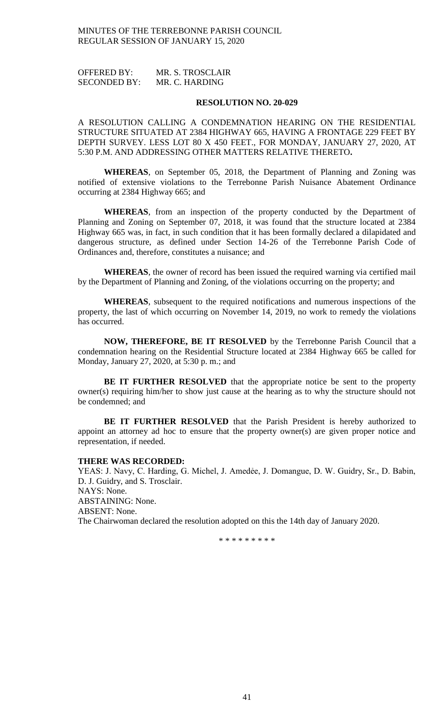OFFERED BY: MR. S. TROSCLAIR SECONDED BY: MR. C. HARDING

### **RESOLUTION NO. 20-029**

A RESOLUTION CALLING A CONDEMNATION HEARING ON THE RESIDENTIAL STRUCTURE SITUATED AT 2384 HIGHWAY 665, HAVING A FRONTAGE 229 FEET BY DEPTH SURVEY. LESS LOT 80 X 450 FEET., FOR MONDAY, JANUARY 27, 2020, AT 5:30 P.M. AND ADDRESSING OTHER MATTERS RELATIVE THERETO**.**

**WHEREAS**, on September 05, 2018, the Department of Planning and Zoning was notified of extensive violations to the Terrebonne Parish Nuisance Abatement Ordinance occurring at 2384 Highway 665; and

**WHEREAS**, from an inspection of the property conducted by the Department of Planning and Zoning on September 07, 2018, it was found that the structure located at 2384 Highway 665 was, in fact, in such condition that it has been formally declared a dilapidated and dangerous structure, as defined under Section 14-26 of the Terrebonne Parish Code of Ordinances and, therefore, constitutes a nuisance; and

**WHEREAS**, the owner of record has been issued the required warning via certified mail by the Department of Planning and Zoning, of the violations occurring on the property; and

**WHEREAS**, subsequent to the required notifications and numerous inspections of the property, the last of which occurring on November 14, 2019, no work to remedy the violations has occurred.

**NOW, THEREFORE, BE IT RESOLVED** by the Terrebonne Parish Council that a condemnation hearing on the Residential Structure located at 2384 Highway 665 be called for Monday, January 27, 2020, at 5:30 p. m.; and

**BE IT FURTHER RESOLVED** that the appropriate notice be sent to the property owner(s) requiring him/her to show just cause at the hearing as to why the structure should not be condemned; and

**BE IT FURTHER RESOLVED** that the Parish President is hereby authorized to appoint an attorney ad hoc to ensure that the property owner(s) are given proper notice and representation, if needed.

### **THERE WAS RECORDED:**

YEAS: J. Navy, C. Harding, G. Michel, J. Amedée, J. Domangue, D. W. Guidry, Sr., D. Babin, D. J. Guidry, and S. Trosclair. NAYS: None. ABSTAINING: None. ABSENT: None. The Chairwoman declared the resolution adopted on this the 14th day of January 2020.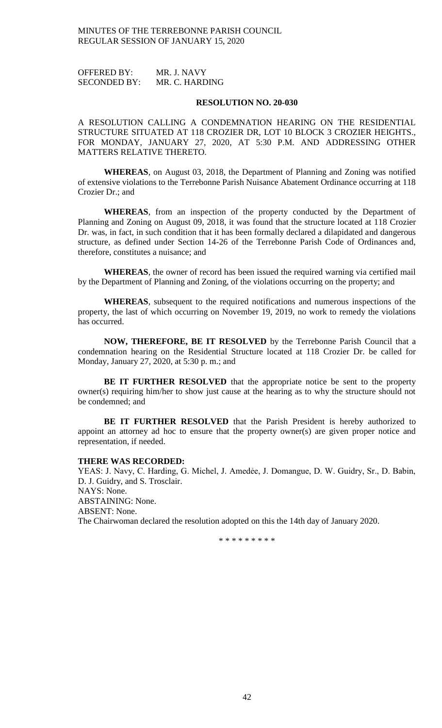OFFERED BY: MR. J. NAVY SECONDED BY: MR. C. HARDING

### **RESOLUTION NO. 20-030**

A RESOLUTION CALLING A CONDEMNATION HEARING ON THE RESIDENTIAL STRUCTURE SITUATED AT 118 CROZIER DR, LOT 10 BLOCK 3 CROZIER HEIGHTS., FOR MONDAY, JANUARY 27, 2020, AT 5:30 P.M. AND ADDRESSING OTHER MATTERS RELATIVE THERETO.

**WHEREAS**, on August 03, 2018, the Department of Planning and Zoning was notified of extensive violations to the Terrebonne Parish Nuisance Abatement Ordinance occurring at 118 Crozier Dr.; and

**WHEREAS**, from an inspection of the property conducted by the Department of Planning and Zoning on August 09, 2018, it was found that the structure located at 118 Crozier Dr. was, in fact, in such condition that it has been formally declared a dilapidated and dangerous structure, as defined under Section 14-26 of the Terrebonne Parish Code of Ordinances and, therefore, constitutes a nuisance; and

**WHEREAS**, the owner of record has been issued the required warning via certified mail by the Department of Planning and Zoning, of the violations occurring on the property; and

**WHEREAS**, subsequent to the required notifications and numerous inspections of the property, the last of which occurring on November 19, 2019, no work to remedy the violations has occurred.

**NOW, THEREFORE, BE IT RESOLVED** by the Terrebonne Parish Council that a condemnation hearing on the Residential Structure located at 118 Crozier Dr. be called for Monday, January 27, 2020, at 5:30 p. m.; and

**BE IT FURTHER RESOLVED** that the appropriate notice be sent to the property owner(s) requiring him/her to show just cause at the hearing as to why the structure should not be condemned; and

**BE IT FURTHER RESOLVED** that the Parish President is hereby authorized to appoint an attorney ad hoc to ensure that the property owner(s) are given proper notice and representation, if needed.

### **THERE WAS RECORDED:**

YEAS: J. Navy, C. Harding, G. Michel, J. Amedėe, J. Domangue, D. W. Guidry, Sr., D. Babin, D. J. Guidry, and S. Trosclair. NAYS: None. ABSTAINING: None. ABSENT: None. The Chairwoman declared the resolution adopted on this the 14th day of January 2020.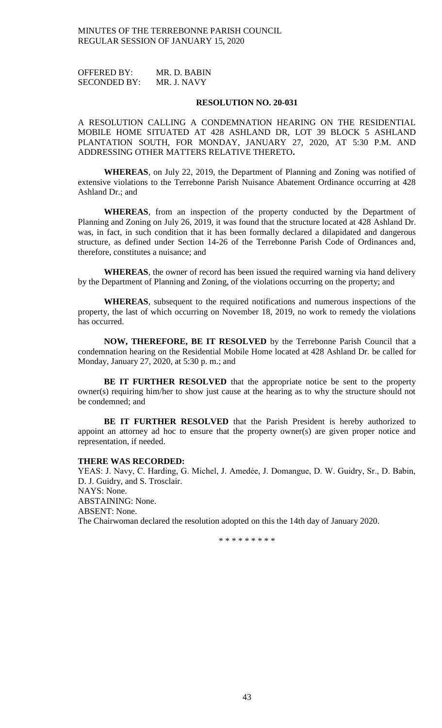OFFERED BY: MR. D. BABIN SECONDED BY: MR. J. NAVY

### **RESOLUTION NO. 20-031**

A RESOLUTION CALLING A CONDEMNATION HEARING ON THE RESIDENTIAL MOBILE HOME SITUATED AT 428 ASHLAND DR, LOT 39 BLOCK 5 ASHLAND PLANTATION SOUTH, FOR MONDAY, JANUARY 27, 2020, AT 5:30 P.M. AND ADDRESSING OTHER MATTERS RELATIVE THERETO**.**

**WHEREAS**, on July 22, 2019, the Department of Planning and Zoning was notified of extensive violations to the Terrebonne Parish Nuisance Abatement Ordinance occurring at 428 Ashland Dr.; and

**WHEREAS**, from an inspection of the property conducted by the Department of Planning and Zoning on July 26, 2019, it was found that the structure located at 428 Ashland Dr. was, in fact, in such condition that it has been formally declared a dilapidated and dangerous structure, as defined under Section 14-26 of the Terrebonne Parish Code of Ordinances and, therefore, constitutes a nuisance; and

**WHEREAS**, the owner of record has been issued the required warning via hand delivery by the Department of Planning and Zoning, of the violations occurring on the property; and

**WHEREAS**, subsequent to the required notifications and numerous inspections of the property, the last of which occurring on November 18, 2019, no work to remedy the violations has occurred.

**NOW, THEREFORE, BE IT RESOLVED** by the Terrebonne Parish Council that a condemnation hearing on the Residential Mobile Home located at 428 Ashland Dr. be called for Monday, January 27, 2020, at 5:30 p. m.; and

**BE IT FURTHER RESOLVED** that the appropriate notice be sent to the property owner(s) requiring him/her to show just cause at the hearing as to why the structure should not be condemned; and

**BE IT FURTHER RESOLVED** that the Parish President is hereby authorized to appoint an attorney ad hoc to ensure that the property owner(s) are given proper notice and representation, if needed.

### **THERE WAS RECORDED:**

YEAS: J. Navy, C. Harding, G. Michel, J. Amedėe, J. Domangue, D. W. Guidry, Sr., D. Babin, D. J. Guidry, and S. Trosclair. NAYS: None. ABSTAINING: None. ABSENT: None. The Chairwoman declared the resolution adopted on this the 14th day of January 2020.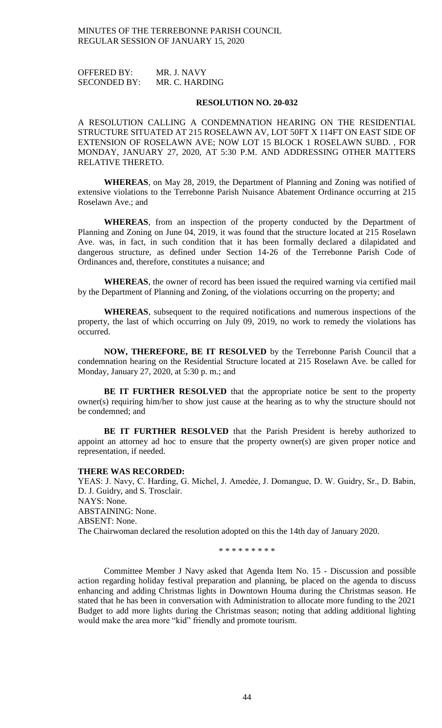OFFERED BY: MR. J. NAVY SECONDED BY: MR. C. HARDING

### **RESOLUTION NO. 20-032**

A RESOLUTION CALLING A CONDEMNATION HEARING ON THE RESIDENTIAL STRUCTURE SITUATED AT 215 ROSELAWN AV, LOT 50FT X 114FT ON EAST SIDE OF EXTENSION OF ROSELAWN AVE; NOW LOT 15 BLOCK 1 ROSELAWN SUBD. , FOR MONDAY, JANUARY 27, 2020, AT 5:30 P.M. AND ADDRESSING OTHER MATTERS RELATIVE THERETO.

**WHEREAS**, on May 28, 2019, the Department of Planning and Zoning was notified of extensive violations to the Terrebonne Parish Nuisance Abatement Ordinance occurring at 215 Roselawn Ave.; and

**WHEREAS**, from an inspection of the property conducted by the Department of Planning and Zoning on June 04, 2019, it was found that the structure located at 215 Roselawn Ave. was, in fact, in such condition that it has been formally declared a dilapidated and dangerous structure, as defined under Section 14-26 of the Terrebonne Parish Code of Ordinances and, therefore, constitutes a nuisance; and

**WHEREAS**, the owner of record has been issued the required warning via certified mail by the Department of Planning and Zoning, of the violations occurring on the property; and

**WHEREAS**, subsequent to the required notifications and numerous inspections of the property, the last of which occurring on July 09, 2019, no work to remedy the violations has occurred.

**NOW, THEREFORE, BE IT RESOLVED** by the Terrebonne Parish Council that a condemnation hearing on the Residential Structure located at 215 Roselawn Ave. be called for Monday, January 27, 2020, at 5:30 p. m.; and

**BE IT FURTHER RESOLVED** that the appropriate notice be sent to the property owner(s) requiring him/her to show just cause at the hearing as to why the structure should not be condemned; and

**BE IT FURTHER RESOLVED** that the Parish President is hereby authorized to appoint an attorney ad hoc to ensure that the property owner(s) are given proper notice and representation, if needed.

### **THERE WAS RECORDED:**

YEAS: J. Navy, C. Harding, G. Michel, J. Amedée, J. Domangue, D. W. Guidry, Sr., D. Babin, D. J. Guidry, and S. Trosclair. NAYS: None. ABSTAINING: None. ABSENT: None. The Chairwoman declared the resolution adopted on this the 14th day of January 2020.

\* \* \* \* \* \* \* \* \*

Committee Member J Navy asked that Agenda Item No. 15 - Discussion and possible action regarding holiday festival preparation and planning, be placed on the agenda to discuss enhancing and adding Christmas lights in Downtown Houma during the Christmas season. He stated that he has been in conversation with Administration to allocate more funding to the 2021 Budget to add more lights during the Christmas season; noting that adding additional lighting would make the area more "kid" friendly and promote tourism.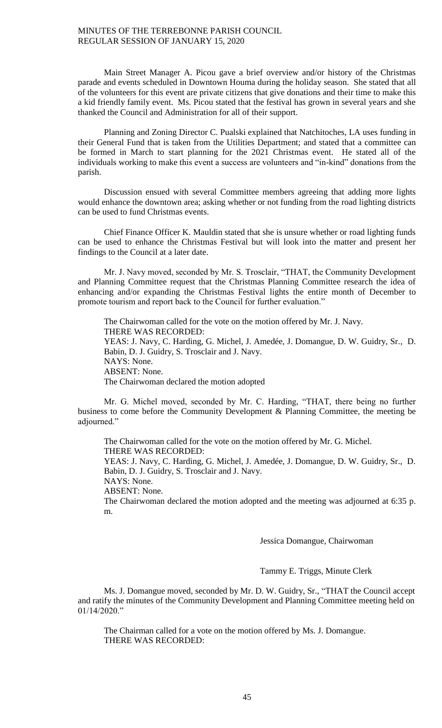Main Street Manager A. Picou gave a brief overview and/or history of the Christmas parade and events scheduled in Downtown Houma during the holiday season. She stated that all of the volunteers for this event are private citizens that give donations and their time to make this a kid friendly family event. Ms. Picou stated that the festival has grown in several years and she thanked the Council and Administration for all of their support.

Planning and Zoning Director C. Pualski explained that Natchitoches, LA uses funding in their General Fund that is taken from the Utilities Department; and stated that a committee can be formed in March to start planning for the 2021 Christmas event. He stated all of the individuals working to make this event a success are volunteers and "in-kind" donations from the parish.

Discussion ensued with several Committee members agreeing that adding more lights would enhance the downtown area; asking whether or not funding from the road lighting districts can be used to fund Christmas events.

Chief Finance Officer K. Mauldin stated that she is unsure whether or road lighting funds can be used to enhance the Christmas Festival but will look into the matter and present her findings to the Council at a later date.

Mr. J. Navy moved, seconded by Mr. S. Trosclair, "THAT, the Community Development and Planning Committee request that the Christmas Planning Committee research the idea of enhancing and/or expanding the Christmas Festival lights the entire month of December to promote tourism and report back to the Council for further evaluation."

The Chairwoman called for the vote on the motion offered by Mr. J. Navy. THERE WAS RECORDED: YEAS: J. Navy, C. Harding, G. Michel, J. Amedée, J. Domangue, D. W. Guidry, Sr., D. Babin, D. J. Guidry, S. Trosclair and J. Navy. NAYS: None. ABSENT: None. The Chairwoman declared the motion adopted

Mr. G. Michel moved, seconded by Mr. C. Harding, "THAT, there being no further business to come before the Community Development & Planning Committee, the meeting be adjourned."

The Chairwoman called for the vote on the motion offered by Mr. G. Michel. THERE WAS RECORDED: YEAS: J. Navy, C. Harding, G. Michel, J. Amedée, J. Domangue, D. W. Guidry, Sr., D. Babin, D. J. Guidry, S. Trosclair and J. Navy. NAYS: None. ABSENT: None. The Chairwoman declared the motion adopted and the meeting was adjourned at 6:35 p. m.

Jessica Domangue, Chairwoman

Tammy E. Triggs, Minute Clerk

Ms. J. Domangue moved, seconded by Mr. D. W. Guidry, Sr., "THAT the Council accept and ratify the minutes of the Community Development and Planning Committee meeting held on 01/14/2020."

The Chairman called for a vote on the motion offered by Ms. J. Domangue. THERE WAS RECORDED: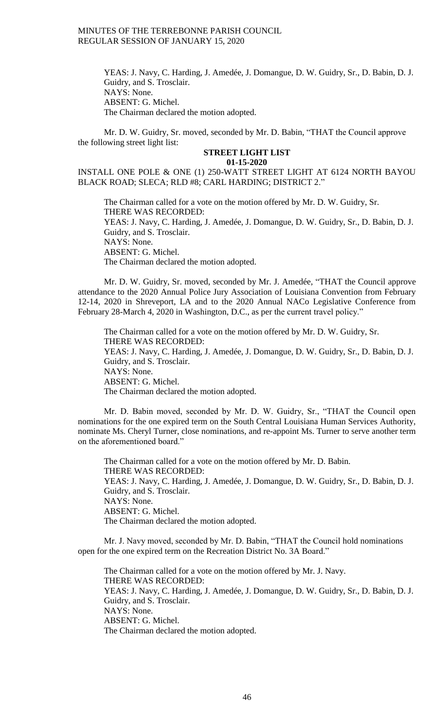YEAS: J. Navy, C. Harding, J. Amedée, J. Domangue, D. W. Guidry, Sr., D. Babin, D. J. Guidry, and S. Trosclair. NAYS: None. ABSENT: G. Michel. The Chairman declared the motion adopted.

Mr. D. W. Guidry, Sr. moved, seconded by Mr. D. Babin, "THAT the Council approve the following street light list:

#### **STREET LIGHT LIST 01-15-2020**

INSTALL ONE POLE & ONE (1) 250-WATT STREET LIGHT AT 6124 NORTH BAYOU BLACK ROAD; SLECA; RLD #8; CARL HARDING; DISTRICT 2."

The Chairman called for a vote on the motion offered by Mr. D. W. Guidry, Sr. THERE WAS RECORDED: YEAS: J. Navy, C. Harding, J. Amedée, J. Domangue, D. W. Guidry, Sr., D. Babin, D. J. Guidry, and S. Trosclair. NAYS: None. ABSENT: G. Michel. The Chairman declared the motion adopted.

Mr. D. W. Guidry, Sr. moved, seconded by Mr. J. Amedée, "THAT the Council approve attendance to the 2020 Annual Police Jury Association of Louisiana Convention from February 12-14, 2020 in Shreveport, LA and to the 2020 Annual NACo Legislative Conference from February 28-March 4, 2020 in Washington, D.C., as per the current travel policy."

The Chairman called for a vote on the motion offered by Mr. D. W. Guidry, Sr. THERE WAS RECORDED: YEAS: J. Navy, C. Harding, J. Amedée, J. Domangue, D. W. Guidry, Sr., D. Babin, D. J. Guidry, and S. Trosclair. NAYS: None. ABSENT: G. Michel. The Chairman declared the motion adopted.

Mr. D. Babin moved, seconded by Mr. D. W. Guidry, Sr., "THAT the Council open nominations for the one expired term on the South Central Louisiana Human Services Authority, nominate Ms. Cheryl Turner, close nominations, and re-appoint Ms. Turner to serve another term on the aforementioned board."

The Chairman called for a vote on the motion offered by Mr. D. Babin. THERE WAS RECORDED: YEAS: J. Navy, C. Harding, J. Amedée, J. Domangue, D. W. Guidry, Sr., D. Babin, D. J. Guidry, and S. Trosclair. NAYS: None. ABSENT: G. Michel. The Chairman declared the motion adopted.

Mr. J. Navy moved, seconded by Mr. D. Babin, "THAT the Council hold nominations open for the one expired term on the Recreation District No. 3A Board."

The Chairman called for a vote on the motion offered by Mr. J. Navy. THERE WAS RECORDED: YEAS: J. Navy, C. Harding, J. Amedée, J. Domangue, D. W. Guidry, Sr., D. Babin, D. J. Guidry, and S. Trosclair. NAYS: None. ABSENT: G. Michel. The Chairman declared the motion adopted.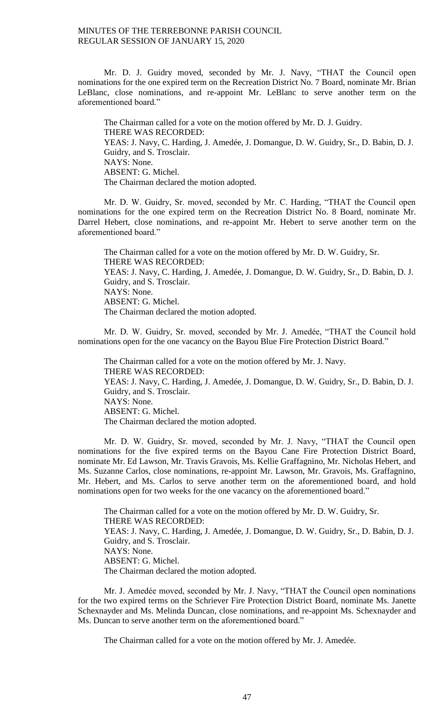Mr. D. J. Guidry moved, seconded by Mr. J. Navy, "THAT the Council open nominations for the one expired term on the Recreation District No. 7 Board, nominate Mr. Brian LeBlanc, close nominations, and re-appoint Mr. LeBlanc to serve another term on the aforementioned board."

The Chairman called for a vote on the motion offered by Mr. D. J. Guidry. THERE WAS RECORDED: YEAS: J. Navy, C. Harding, J. Amedée, J. Domangue, D. W. Guidry, Sr., D. Babin, D. J. Guidry, and S. Trosclair. NAYS: None. ABSENT: G. Michel. The Chairman declared the motion adopted.

Mr. D. W. Guidry, Sr. moved, seconded by Mr. C. Harding, "THAT the Council open nominations for the one expired term on the Recreation District No. 8 Board, nominate Mr. Darrel Hebert, close nominations, and re-appoint Mr. Hebert to serve another term on the aforementioned board."

The Chairman called for a vote on the motion offered by Mr. D. W. Guidry, Sr. THERE WAS RECORDED: YEAS: J. Navy, C. Harding, J. Amedée, J. Domangue, D. W. Guidry, Sr., D. Babin, D. J. Guidry, and S. Trosclair. NAYS: None. ABSENT: G. Michel. The Chairman declared the motion adopted.

Mr. D. W. Guidry, Sr. moved, seconded by Mr. J. Amedée, "THAT the Council hold nominations open for the one vacancy on the Bayou Blue Fire Protection District Board."

The Chairman called for a vote on the motion offered by Mr. J. Navy. THERE WAS RECORDED: YEAS: J. Navy, C. Harding, J. Amedée, J. Domangue, D. W. Guidry, Sr., D. Babin, D. J. Guidry, and S. Trosclair. NAYS: None. ABSENT: G. Michel. The Chairman declared the motion adopted.

Mr. D. W. Guidry, Sr. moved, seconded by Mr. J. Navy, "THAT the Council open nominations for the five expired terms on the Bayou Cane Fire Protection District Board, nominate Mr. Ed Lawson, Mr. Travis Gravois, Ms. Kellie Graffagnino, Mr. Nicholas Hebert, and Ms. Suzanne Carlos, close nominations, re-appoint Mr. Lawson, Mr. Gravois, Ms. Graffagnino, Mr. Hebert, and Ms. Carlos to serve another term on the aforementioned board, and hold nominations open for two weeks for the one vacancy on the aforementioned board."

The Chairman called for a vote on the motion offered by Mr. D. W. Guidry, Sr. THERE WAS RECORDED: YEAS: J. Navy, C. Harding, J. Amedée, J. Domangue, D. W. Guidry, Sr., D. Babin, D. J. Guidry, and S. Trosclair. NAYS: None. ABSENT: G. Michel. The Chairman declared the motion adopted.

Mr. J. Amedée moved, seconded by Mr. J. Navy, "THAT the Council open nominations for the two expired terms on the Schriever Fire Protection District Board, nominate Ms. Janette Schexnayder and Ms. Melinda Duncan, close nominations, and re-appoint Ms. Schexnayder and Ms. Duncan to serve another term on the aforementioned board."

The Chairman called for a vote on the motion offered by Mr. J. Amedée.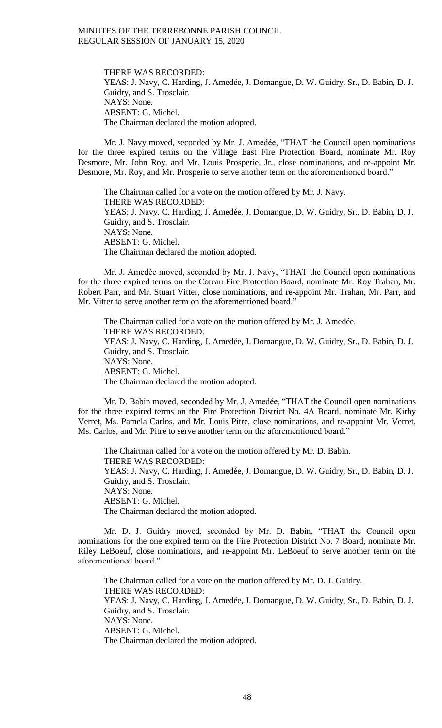THERE WAS RECORDED: YEAS: J. Navy, C. Harding, J. Amedée, J. Domangue, D. W. Guidry, Sr., D. Babin, D. J. Guidry, and S. Trosclair. NAYS: None. ABSENT: G. Michel. The Chairman declared the motion adopted.

Mr. J. Navy moved, seconded by Mr. J. Amedée, "THAT the Council open nominations for the three expired terms on the Village East Fire Protection Board, nominate Mr. Roy Desmore, Mr. John Roy, and Mr. Louis Prosperie, Jr., close nominations, and re-appoint Mr. Desmore, Mr. Roy, and Mr. Prosperie to serve another term on the aforementioned board."

The Chairman called for a vote on the motion offered by Mr. J. Navy. THERE WAS RECORDED: YEAS: J. Navy, C. Harding, J. Amedée, J. Domangue, D. W. Guidry, Sr., D. Babin, D. J. Guidry, and S. Trosclair. NAYS: None. ABSENT: G. Michel. The Chairman declared the motion adopted.

Mr. J. Amedée moved, seconded by Mr. J. Navy, "THAT the Council open nominations for the three expired terms on the Coteau Fire Protection Board, nominate Mr. Roy Trahan, Mr. Robert Parr, and Mr. Stuart Vitter, close nominations, and re-appoint Mr. Trahan, Mr. Parr, and Mr. Vitter to serve another term on the aforementioned board."

The Chairman called for a vote on the motion offered by Mr. J. Amedée. THERE WAS RECORDED: YEAS: J. Navy, C. Harding, J. Amedée, J. Domangue, D. W. Guidry, Sr., D. Babin, D. J. Guidry, and S. Trosclair. NAYS: None. ABSENT: G. Michel. The Chairman declared the motion adopted.

Mr. D. Babin moved, seconded by Mr. J. Amedée, "THAT the Council open nominations for the three expired terms on the Fire Protection District No. 4A Board, nominate Mr. Kirby Verret, Ms. Pamela Carlos, and Mr. Louis Pitre, close nominations, and re-appoint Mr. Verret, Ms. Carlos, and Mr. Pitre to serve another term on the aforementioned board."

The Chairman called for a vote on the motion offered by Mr. D. Babin. THERE WAS RECORDED: YEAS: J. Navy, C. Harding, J. Amedée, J. Domangue, D. W. Guidry, Sr., D. Babin, D. J. Guidry, and S. Trosclair. NAYS: None. ABSENT: G. Michel. The Chairman declared the motion adopted.

Mr. D. J. Guidry moved, seconded by Mr. D. Babin, "THAT the Council open nominations for the one expired term on the Fire Protection District No. 7 Board, nominate Mr. Riley LeBoeuf, close nominations, and re-appoint Mr. LeBoeuf to serve another term on the aforementioned board."

The Chairman called for a vote on the motion offered by Mr. D. J. Guidry. THERE WAS RECORDED: YEAS: J. Navy, C. Harding, J. Amedée, J. Domangue, D. W. Guidry, Sr., D. Babin, D. J. Guidry, and S. Trosclair. NAYS: None. ABSENT: G. Michel. The Chairman declared the motion adopted.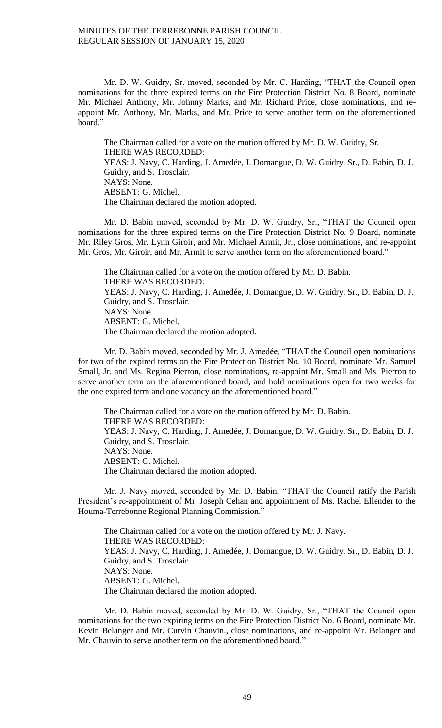Mr. D. W. Guidry, Sr. moved, seconded by Mr. C. Harding, "THAT the Council open nominations for the three expired terms on the Fire Protection District No. 8 Board, nominate Mr. Michael Anthony, Mr. Johnny Marks, and Mr. Richard Price, close nominations, and reappoint Mr. Anthony, Mr. Marks, and Mr. Price to serve another term on the aforementioned board."

The Chairman called for a vote on the motion offered by Mr. D. W. Guidry, Sr. THERE WAS RECORDED: YEAS: J. Navy, C. Harding, J. Amedée, J. Domangue, D. W. Guidry, Sr., D. Babin, D. J. Guidry, and S. Trosclair. NAYS: None. ABSENT: G. Michel. The Chairman declared the motion adopted.

Mr. D. Babin moved, seconded by Mr. D. W. Guidry, Sr., "THAT the Council open nominations for the three expired terms on the Fire Protection District No. 9 Board, nominate Mr. Riley Gros, Mr. Lynn Giroir, and Mr. Michael Armit, Jr., close nominations, and re-appoint Mr. Gros, Mr. Giroir, and Mr. Armit to serve another term on the aforementioned board."

The Chairman called for a vote on the motion offered by Mr. D. Babin. THERE WAS RECORDED: YEAS: J. Navy, C. Harding, J. Amedée, J. Domangue, D. W. Guidry, Sr., D. Babin, D. J. Guidry, and S. Trosclair. NAYS: None. ABSENT: G. Michel. The Chairman declared the motion adopted.

Mr. D. Babin moved, seconded by Mr. J. Amedée, "THAT the Council open nominations for two of the expired terms on the Fire Protection District No. 10 Board, nominate Mr. Samuel Small, Jr. and Ms. Regina Pierron, close nominations, re-appoint Mr. Small and Ms. Pierron to serve another term on the aforementioned board, and hold nominations open for two weeks for the one expired term and one vacancy on the aforementioned board."

The Chairman called for a vote on the motion offered by Mr. D. Babin. THERE WAS RECORDED: YEAS: J. Navy, C. Harding, J. Amedée, J. Domangue, D. W. Guidry, Sr., D. Babin, D. J. Guidry, and S. Trosclair. NAYS: None. ABSENT: G. Michel. The Chairman declared the motion adopted.

Mr. J. Navy moved, seconded by Mr. D. Babin, "THAT the Council ratify the Parish President's re-appointment of Mr. Joseph Cehan and appointment of Ms. Rachel Ellender to the Houma-Terrebonne Regional Planning Commission."

The Chairman called for a vote on the motion offered by Mr. J. Navy. THERE WAS RECORDED: YEAS: J. Navy, C. Harding, J. Amedée, J. Domangue, D. W. Guidry, Sr., D. Babin, D. J. Guidry, and S. Trosclair. NAYS: None. ABSENT: G. Michel. The Chairman declared the motion adopted.

Mr. D. Babin moved, seconded by Mr. D. W. Guidry, Sr., "THAT the Council open nominations for the two expiring terms on the Fire Protection District No. 6 Board, nominate Mr. Kevin Belanger and Mr. Curvin Chauvin., close nominations, and re-appoint Mr. Belanger and Mr. Chauvin to serve another term on the aforementioned board."